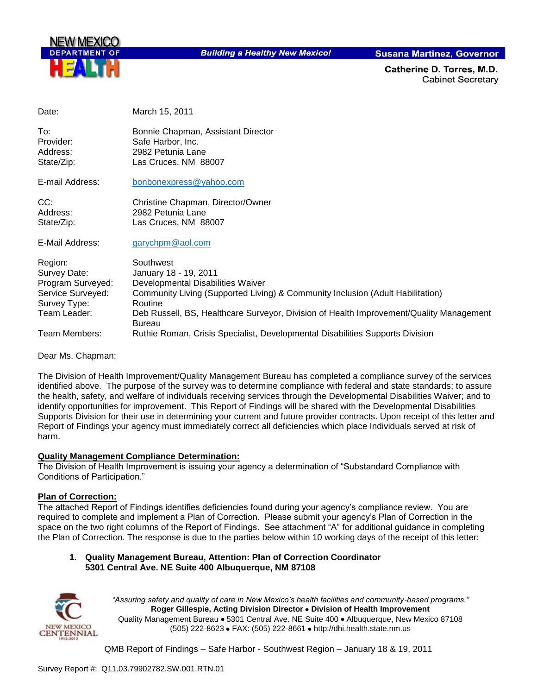

**Building a Healthy New Mexico!** 

**Susana Martinez, Governor** 

Catherine D. Torres, M.D. **Cabinet Secretary** 

Date: March 15, 2011

To: Bonnie Chapman, Assistant Director Provider: Safe Harbor, Inc.<br>Address: 2982 Petunia Lan 2982 Petunia Lane State/Zip: Las Cruces, NM 88007

E-mail Address: [bonbonexpress@yahoo.com](mailto:bonbonexpress@yahoo.com)

CC: CC: Christine Chapman, Director/Owner<br>
Address: 2982 Petunia Lane 2982 Petunia Lane State/Zip: Las Cruces, NM 88007

E-Mail Address: [garychpm@aol.com](mailto:garychpm@aol.com)

| Region:           | Southwest                                                                               |
|-------------------|-----------------------------------------------------------------------------------------|
| Survey Date:      | January 18 - 19, 2011                                                                   |
| Program Surveyed: | Developmental Disabilities Waiver                                                       |
| Service Surveyed: | Community Living (Supported Living) & Community Inclusion (Adult Habilitation)          |
| Survey Type:      | Routine                                                                                 |
| Team Leader:      | Deb Russell, BS, Healthcare Surveyor, Division of Health Improvement/Quality Management |
|                   | <b>Bureau</b>                                                                           |
| Team Members:     | Ruthie Roman, Crisis Specialist, Developmental Disabilities Supports Division           |

Dear Ms. Chapman;

The Division of Health Improvement/Quality Management Bureau has completed a compliance survey of the services identified above. The purpose of the survey was to determine compliance with federal and state standards; to assure the health, safety, and welfare of individuals receiving services through the Developmental Disabilities Waiver; and to identify opportunities for improvement. This Report of Findings will be shared with the Developmental Disabilities Supports Division for their use in determining your current and future provider contracts. Upon receipt of this letter and Report of Findings your agency must immediately correct all deficiencies which place Individuals served at risk of harm.

#### **Quality Management Compliance Determination:**

The Division of Health Improvement is issuing your agency a determination of "Substandard Compliance with Conditions of Participation."

#### **Plan of Correction:**

The attached Report of Findings identifies deficiencies found during your agency"s compliance review. You are required to complete and implement a Plan of Correction. Please submit your agency"s Plan of Correction in the space on the two right columns of the Report of Findings. See attachment "A" for additional guidance in completing the Plan of Correction. The response is due to the parties below within 10 working days of the receipt of this letter:

#### **1. Quality Management Bureau, Attention: Plan of Correction Coordinator 5301 Central Ave. NE Suite 400 Albuquerque, NM 87108**



*"Assuring safety and quality of care in New Mexico's health facilities and community-based programs."* **Roger Gillespie, Acting Division Director Division of Health Improvement**  Quality Management Bureau • 5301 Central Ave. NE Suite 400 • Albuquerque, New Mexico 87108 (505) 222-8623 • FAX: (505) 222-8661 • http://dhi.health.state.nm.us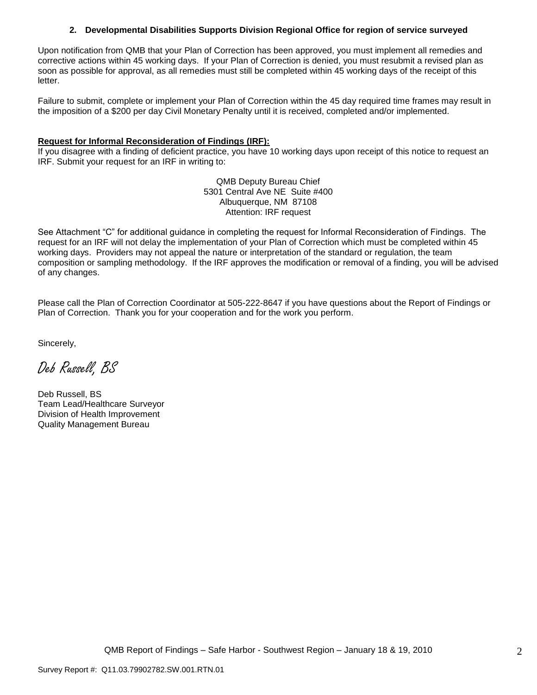#### **2. Developmental Disabilities Supports Division Regional Office for region of service surveyed**

Upon notification from QMB that your Plan of Correction has been approved, you must implement all remedies and corrective actions within 45 working days. If your Plan of Correction is denied, you must resubmit a revised plan as soon as possible for approval, as all remedies must still be completed within 45 working days of the receipt of this letter.

Failure to submit, complete or implement your Plan of Correction within the 45 day required time frames may result in the imposition of a \$200 per day Civil Monetary Penalty until it is received, completed and/or implemented.

#### **Request for Informal Reconsideration of Findings (IRF):**

If you disagree with a finding of deficient practice, you have 10 working days upon receipt of this notice to request an IRF. Submit your request for an IRF in writing to:

> QMB Deputy Bureau Chief 5301 Central Ave NE Suite #400 Albuquerque, NM 87108 Attention: IRF request

See Attachment "C" for additional guidance in completing the request for Informal Reconsideration of Findings. The request for an IRF will not delay the implementation of your Plan of Correction which must be completed within 45 working days. Providers may not appeal the nature or interpretation of the standard or regulation, the team composition or sampling methodology. If the IRF approves the modification or removal of a finding, you will be advised of any changes.

Please call the Plan of Correction Coordinator at 505-222-8647 if you have questions about the Report of Findings or Plan of Correction. Thank you for your cooperation and for the work you perform.

Sincerely,

Deb Russell, BS

Deb Russell, BS Team Lead/Healthcare Surveyor Division of Health Improvement Quality Management Bureau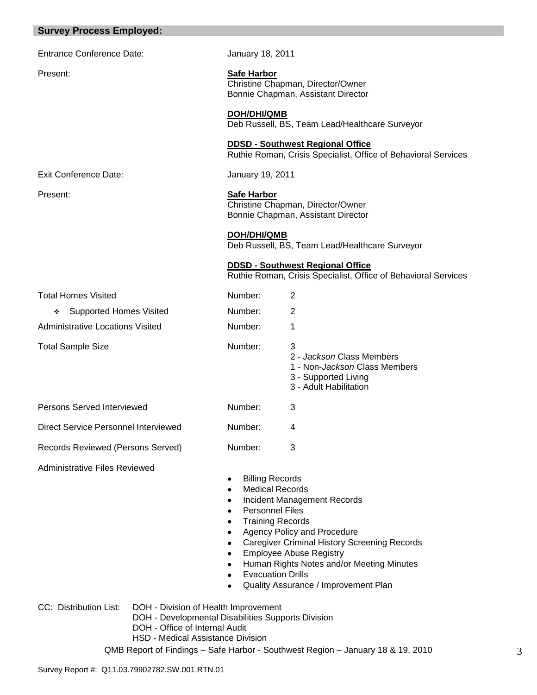| <b>Survey Process Employed:</b>         |                                                                                                                           |                                                                                                                   |
|-----------------------------------------|---------------------------------------------------------------------------------------------------------------------------|-------------------------------------------------------------------------------------------------------------------|
| <b>Entrance Conference Date:</b>        | January 18, 2011                                                                                                          |                                                                                                                   |
| Present:                                | <b>Safe Harbor</b>                                                                                                        | Christine Chapman, Director/Owner<br>Bonnie Chapman, Assistant Director                                           |
|                                         | DOH/DHI/QMB                                                                                                               | Deb Russell, BS, Team Lead/Healthcare Surveyor                                                                    |
|                                         |                                                                                                                           | <b>DDSD - Southwest Regional Office</b><br>Ruthie Roman, Crisis Specialist, Office of Behavioral Services         |
| <b>Exit Conference Date:</b>            | January 19, 2011                                                                                                          |                                                                                                                   |
| Present:                                | <b>Safe Harbor</b>                                                                                                        | Christine Chapman, Director/Owner<br>Bonnie Chapman, Assistant Director                                           |
|                                         | DOH/DHI/QMB                                                                                                               | Deb Russell, BS, Team Lead/Healthcare Surveyor                                                                    |
|                                         |                                                                                                                           | <b>DDSD - Southwest Regional Office</b><br>Ruthie Roman, Crisis Specialist, Office of Behavioral Services         |
| <b>Total Homes Visited</b>              | Number:                                                                                                                   | $\overline{2}$                                                                                                    |
| <b>Supported Homes Visited</b><br>❖     | Number:                                                                                                                   | $\overline{2}$                                                                                                    |
| <b>Administrative Locations Visited</b> | Number:                                                                                                                   | 1                                                                                                                 |
| <b>Total Sample Size</b>                | Number:                                                                                                                   | 3<br>2 - Jackson Class Members<br>1 - Non-Jackson Class Members<br>3 - Supported Living<br>3 - Adult Habilitation |
| Persons Served Interviewed              | Number:                                                                                                                   | 3                                                                                                                 |
| Direct Service Personnel Interviewed    | Number:                                                                                                                   | 4                                                                                                                 |
| Records Reviewed (Persons Served)       | Number:                                                                                                                   | 3                                                                                                                 |
| <b>Administrative Files Reviewed</b>    | <b>Billing Records</b><br>٠<br><b>Medical Records</b><br>٠<br>٠<br><b>Personnel Files</b><br>٠<br><b>Training Records</b> | Incident Management Records<br>Agency Policy and Procedure<br><b>Caregiver Criminal History Screening Records</b> |

- **•** Employee Abuse Registry
- Human Rights Notes and/or Meeting Minutes  $\bullet$
- Evacuation Drills  $\bullet$
- Quality Assurance / Improvement Plan  $\bullet$

CC: Distribution List: DOH - Division of Health Improvement

- DOH Developmental Disabilities Supports Division
- DOH Office of Internal Audit
- HSD Medical Assistance Division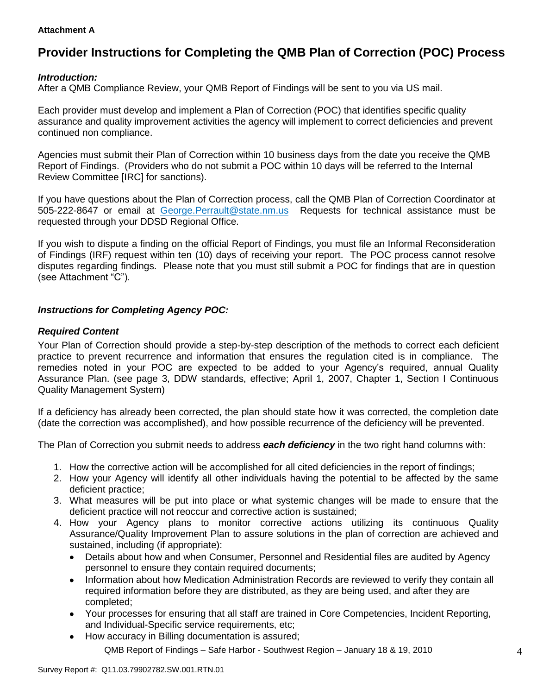#### **Attachment A**

# **Provider Instructions for Completing the QMB Plan of Correction (POC) Process**

#### *Introduction:*

After a QMB Compliance Review, your QMB Report of Findings will be sent to you via US mail.

Each provider must develop and implement a Plan of Correction (POC) that identifies specific quality assurance and quality improvement activities the agency will implement to correct deficiencies and prevent continued non compliance.

Agencies must submit their Plan of Correction within 10 business days from the date you receive the QMB Report of Findings. (Providers who do not submit a POC within 10 days will be referred to the Internal Review Committee [IRC] for sanctions).

If you have questions about the Plan of Correction process, call the QMB Plan of Correction Coordinator at 505-222-8647 or email at George.Perrault@state.nm.us Requests for technical assistance must be requested through your DDSD Regional Office.

If you wish to dispute a finding on the official Report of Findings, you must file an Informal Reconsideration of Findings (IRF) request within ten (10) days of receiving your report. The POC process cannot resolve disputes regarding findings. Please note that you must still submit a POC for findings that are in question (see Attachment "C").

#### *Instructions for Completing Agency POC:*

#### *Required Content*

Your Plan of Correction should provide a step-by-step description of the methods to correct each deficient practice to prevent recurrence and information that ensures the regulation cited is in compliance. The remedies noted in your POC are expected to be added to your Agency"s required, annual Quality Assurance Plan. (see page 3, DDW standards, effective; April 1, 2007, Chapter 1, Section I Continuous Quality Management System)

If a deficiency has already been corrected, the plan should state how it was corrected, the completion date (date the correction was accomplished), and how possible recurrence of the deficiency will be prevented.

The Plan of Correction you submit needs to address *each deficiency* in the two right hand columns with:

- 1. How the corrective action will be accomplished for all cited deficiencies in the report of findings;
- 2. How your Agency will identify all other individuals having the potential to be affected by the same deficient practice;
- 3. What measures will be put into place or what systemic changes will be made to ensure that the deficient practice will not reoccur and corrective action is sustained;
- 4. How your Agency plans to monitor corrective actions utilizing its continuous Quality Assurance/Quality Improvement Plan to assure solutions in the plan of correction are achieved and sustained, including (if appropriate):
	- Details about how and when Consumer, Personnel and Residential files are audited by Agency  $\bullet$ personnel to ensure they contain required documents;
	- Information about how Medication Administration Records are reviewed to verify they contain all  $\bullet$ required information before they are distributed, as they are being used, and after they are completed;
	- Your processes for ensuring that all staff are trained in Core Competencies, Incident Reporting, and Individual-Specific service requirements, etc;
	- QMB Report of Findings Safe Harbor Southwest Region January 18 & 19, 2010 How accuracy in Billing documentation is assured;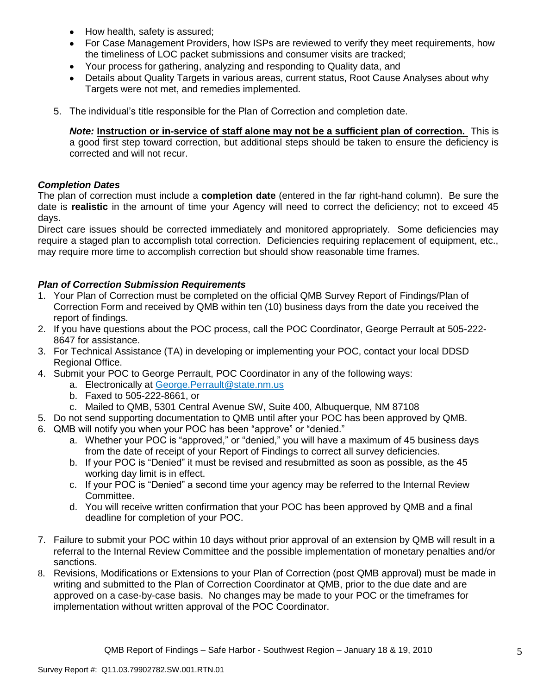- How health, safety is assured;  $\bullet$
- For Case Management Providers, how ISPs are reviewed to verify they meet requirements, how the timeliness of LOC packet submissions and consumer visits are tracked;
- Your process for gathering, analyzing and responding to Quality data, and
- Details about Quality Targets in various areas, current status, Root Cause Analyses about why Targets were not met, and remedies implemented.
- 5. The individual"s title responsible for the Plan of Correction and completion date.

*Note:* **Instruction or in-service of staff alone may not be a sufficient plan of correction.** This is a good first step toward correction, but additional steps should be taken to ensure the deficiency is corrected and will not recur.

#### *Completion Dates*

The plan of correction must include a **completion date** (entered in the far right-hand column). Be sure the date is **realistic** in the amount of time your Agency will need to correct the deficiency; not to exceed 45 days.

Direct care issues should be corrected immediately and monitored appropriately. Some deficiencies may require a staged plan to accomplish total correction. Deficiencies requiring replacement of equipment, etc., may require more time to accomplish correction but should show reasonable time frames.

#### *Plan of Correction Submission Requirements*

- 1. Your Plan of Correction must be completed on the official QMB Survey Report of Findings/Plan of Correction Form and received by QMB within ten (10) business days from the date you received the report of findings.
- 2. If you have questions about the POC process, call the POC Coordinator, George Perrault at 505-222- 8647 for assistance.
- 3. For Technical Assistance (TA) in developing or implementing your POC, contact your local DDSD Regional Office.
- 4. Submit your POC to George Perrault, POC Coordinator in any of the following ways:
	- a. Electronically at [George.Perrault@state.nm.us](mailto:George.Perrault@state.nm.us)
	- b. Faxed to 505-222-8661, or
	- c. Mailed to QMB, 5301 Central Avenue SW, Suite 400, Albuquerque, NM 87108
- 5. Do not send supporting documentation to QMB until after your POC has been approved by QMB.
- 6. QMB will notify you when your POC has been "approve" or "denied."
	- a. Whether your POC is "approved," or "denied," you will have a maximum of 45 business days from the date of receipt of your Report of Findings to correct all survey deficiencies.
	- b. If your POC is "Denied" it must be revised and resubmitted as soon as possible, as the 45 working day limit is in effect.
	- c. If your POC is "Denied" a second time your agency may be referred to the Internal Review Committee.
	- d. You will receive written confirmation that your POC has been approved by QMB and a final deadline for completion of your POC.
- 7. Failure to submit your POC within 10 days without prior approval of an extension by QMB will result in a referral to the Internal Review Committee and the possible implementation of monetary penalties and/or sanctions.
- 8. Revisions, Modifications or Extensions to your Plan of Correction (post QMB approval) must be made in writing and submitted to the Plan of Correction Coordinator at QMB, prior to the due date and are approved on a case-by-case basis. No changes may be made to your POC or the timeframes for implementation without written approval of the POC Coordinator.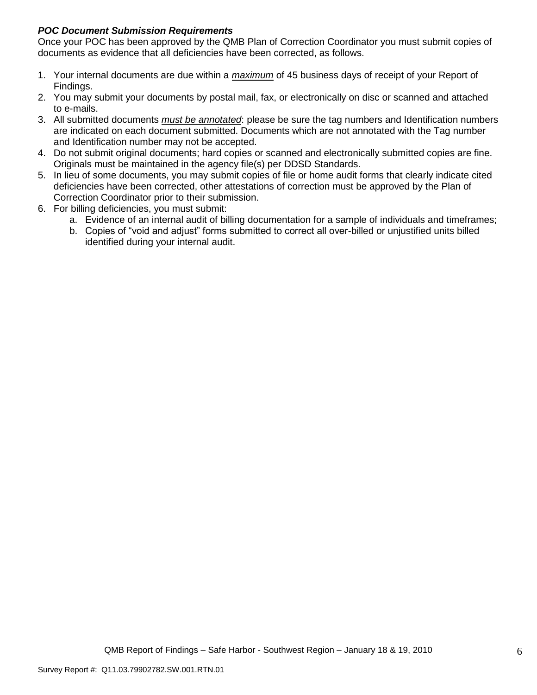### *POC Document Submission Requirements*

Once your POC has been approved by the QMB Plan of Correction Coordinator you must submit copies of documents as evidence that all deficiencies have been corrected, as follows.

- 1. Your internal documents are due within a *maximum* of 45 business days of receipt of your Report of Findings.
- 2. You may submit your documents by postal mail, fax, or electronically on disc or scanned and attached to e-mails.
- 3. All submitted documents *must be annotated*: please be sure the tag numbers and Identification numbers are indicated on each document submitted. Documents which are not annotated with the Tag number and Identification number may not be accepted.
- 4. Do not submit original documents; hard copies or scanned and electronically submitted copies are fine. Originals must be maintained in the agency file(s) per DDSD Standards.
- 5. In lieu of some documents, you may submit copies of file or home audit forms that clearly indicate cited deficiencies have been corrected, other attestations of correction must be approved by the Plan of Correction Coordinator prior to their submission.
- 6. For billing deficiencies, you must submit:
	- a. Evidence of an internal audit of billing documentation for a sample of individuals and timeframes;
	- b. Copies of "void and adjust" forms submitted to correct all over-billed or unjustified units billed identified during your internal audit.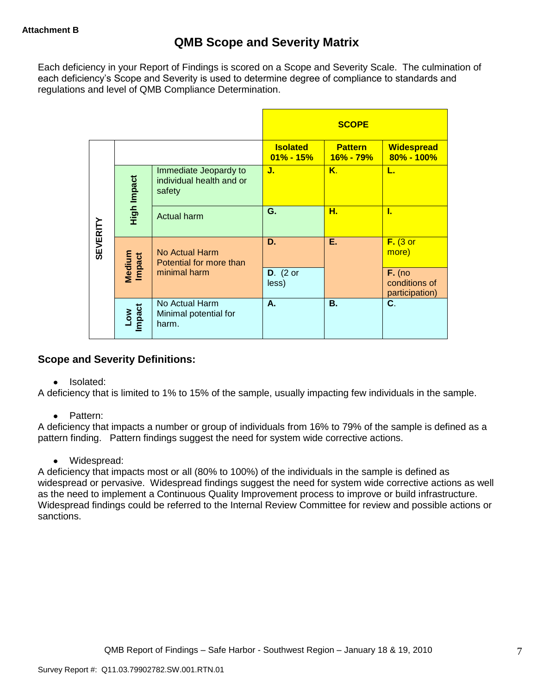Each deficiency in your Report of Findings is scored on a Scope and Severity Scale. The culmination of each deficiency"s Scope and Severity is used to determine degree of compliance to standards and regulations and level of QMB Compliance Determination.

|                 |                      |                                                             |                                  | <b>SCOPE</b>                |                                             |
|-----------------|----------------------|-------------------------------------------------------------|----------------------------------|-----------------------------|---------------------------------------------|
|                 |                      |                                                             | <b>Isolated</b><br>$01\% - 15\%$ | <b>Pattern</b><br>16% - 79% | <b>Widespread</b><br>80% - 100%             |
|                 | High Impact          | Immediate Jeopardy to<br>individual health and or<br>safety | J.                               | K.                          | L.                                          |
|                 |                      | <b>Actual harm</b>                                          | G.                               | н.                          | L                                           |
| <b>SEVERITY</b> | Medium<br>Impact     | No Actual Harm<br>Potential for more than                   | D.                               | Ε.                          | $F.$ (3 or<br>more)                         |
|                 |                      | minimal harm                                                | $D.$ (2 or<br>less)              |                             | $F.$ (no<br>conditions of<br>participation) |
|                 | <b>Impact</b><br>Low | No Actual Harm<br>Minimal potential for<br>harm.            | А.                               | <b>B.</b>                   | C.                                          |

## **Scope and Severity Definitions:**

• Isolated:

A deficiency that is limited to 1% to 15% of the sample, usually impacting few individuals in the sample.

• Pattern:

A deficiency that impacts a number or group of individuals from 16% to 79% of the sample is defined as a pattern finding. Pattern findings suggest the need for system wide corrective actions.

• Widespread:

A deficiency that impacts most or all (80% to 100%) of the individuals in the sample is defined as widespread or pervasive. Widespread findings suggest the need for system wide corrective actions as well as the need to implement a Continuous Quality Improvement process to improve or build infrastructure. Widespread findings could be referred to the Internal Review Committee for review and possible actions or sanctions.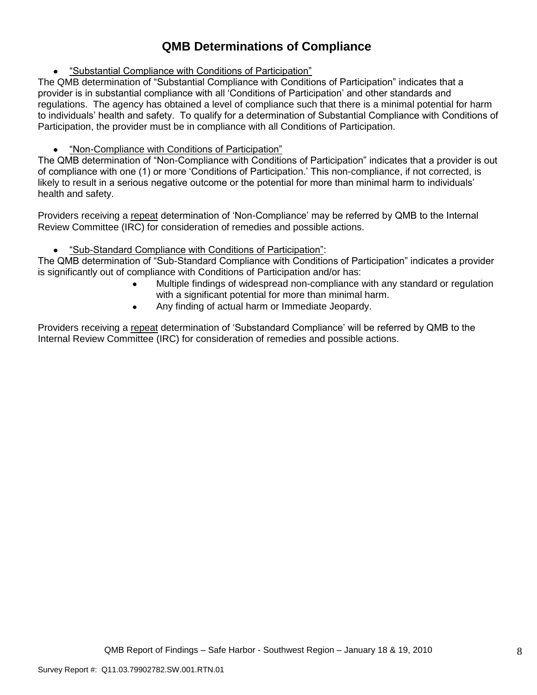# **QMB Determinations of Compliance**

"Substantial Compliance with Conditions of Participation"

The QMB determination of "Substantial Compliance with Conditions of Participation" indicates that a provider is in substantial compliance with all "Conditions of Participation" and other standards and regulations. The agency has obtained a level of compliance such that there is a minimal potential for harm to individuals" health and safety. To qualify for a determination of Substantial Compliance with Conditions of Participation, the provider must be in compliance with all Conditions of Participation.

### "Non-Compliance with Conditions of Participation"

The QMB determination of "Non-Compliance with Conditions of Participation" indicates that a provider is out of compliance with one (1) or more "Conditions of Participation." This non-compliance, if not corrected, is likely to result in a serious negative outcome or the potential for more than minimal harm to individuals' health and safety.

Providers receiving a repeat determination of 'Non-Compliance' may be referred by QMB to the Internal Review Committee (IRC) for consideration of remedies and possible actions.

#### $\bullet$ "Sub-Standard Compliance with Conditions of Participation":

The QMB determination of "Sub-Standard Compliance with Conditions of Participation" indicates a provider is significantly out of compliance with Conditions of Participation and/or has:

- Multiple findings of widespread non-compliance with any standard or regulation with a significant potential for more than minimal harm.
- Any finding of actual harm or Immediate Jeopardy.  $\bullet$

Providers receiving a repeat determination of 'Substandard Compliance' will be referred by QMB to the Internal Review Committee (IRC) for consideration of remedies and possible actions.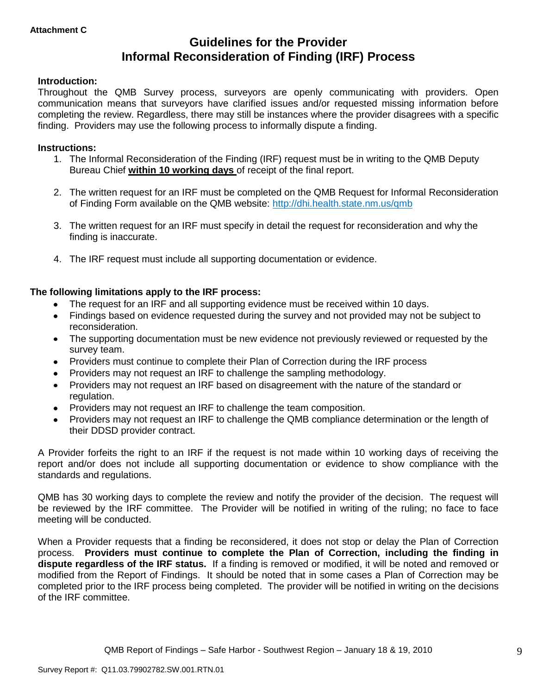# **Guidelines for the Provider Informal Reconsideration of Finding (IRF) Process**

#### **Introduction:**

Throughout the QMB Survey process, surveyors are openly communicating with providers. Open communication means that surveyors have clarified issues and/or requested missing information before completing the review. Regardless, there may still be instances where the provider disagrees with a specific finding. Providers may use the following process to informally dispute a finding.

#### **Instructions:**

- 1. The Informal Reconsideration of the Finding (IRF) request must be in writing to the QMB Deputy Bureau Chief **within 10 working days** of receipt of the final report.
- 2. The written request for an IRF must be completed on the QMB Request for Informal Reconsideration of Finding Form available on the QMB website:<http://dhi.health.state.nm.us/qmb>
- 3. The written request for an IRF must specify in detail the request for reconsideration and why the finding is inaccurate.
- 4. The IRF request must include all supporting documentation or evidence.

#### **The following limitations apply to the IRF process:**

- The request for an IRF and all supporting evidence must be received within 10 days.
- Findings based on evidence requested during the survey and not provided may not be subject to reconsideration.
- The supporting documentation must be new evidence not previously reviewed or requested by the survey team.
- Providers must continue to complete their Plan of Correction during the IRF process  $\bullet$
- Providers may not request an IRF to challenge the sampling methodology.
- Providers may not request an IRF based on disagreement with the nature of the standard or  $\bullet$ regulation.
- Providers may not request an IRF to challenge the team composition.
- Providers may not request an IRF to challenge the QMB compliance determination or the length of  $\bullet$ their DDSD provider contract.

A Provider forfeits the right to an IRF if the request is not made within 10 working days of receiving the report and/or does not include all supporting documentation or evidence to show compliance with the standards and regulations.

QMB has 30 working days to complete the review and notify the provider of the decision. The request will be reviewed by the IRF committee. The Provider will be notified in writing of the ruling; no face to face meeting will be conducted.

When a Provider requests that a finding be reconsidered, it does not stop or delay the Plan of Correction process. **Providers must continue to complete the Plan of Correction, including the finding in dispute regardless of the IRF status.** If a finding is removed or modified, it will be noted and removed or modified from the Report of Findings. It should be noted that in some cases a Plan of Correction may be completed prior to the IRF process being completed. The provider will be notified in writing on the decisions of the IRF committee.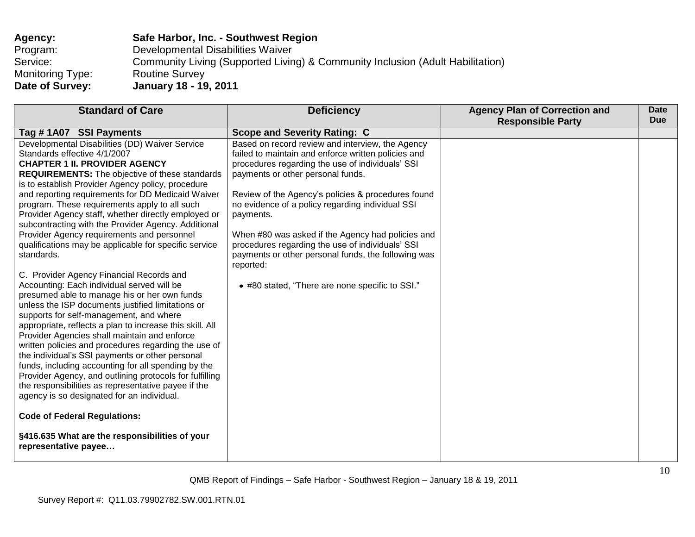| Agency:                 | Safe Harbor, Inc. - Southwest Region                                           |
|-------------------------|--------------------------------------------------------------------------------|
| Program:                | Developmental Disabilities Waiver                                              |
| Service:                | Community Living (Supported Living) & Community Inclusion (Adult Habilitation) |
| <b>Monitoring Type:</b> | <b>Routine Survey</b>                                                          |
| Date of Survey:         | <b>January 18 - 19, 2011</b>                                                   |

| <b>Standard of Care</b>                                                                                                                                                                                                                                                                                                                                                                                                                                                                                                                                                                                                                                                                                                                                                                                                                                                                                                                                                                                                                                                                                                                                                                                                                                                                                                                                                                | <b>Deficiency</b>                                                                                                                                                                                                                                                                                                                                                                                                                                                                                                                                       | <b>Agency Plan of Correction and</b><br><b>Responsible Party</b> | Date<br><b>Due</b> |
|----------------------------------------------------------------------------------------------------------------------------------------------------------------------------------------------------------------------------------------------------------------------------------------------------------------------------------------------------------------------------------------------------------------------------------------------------------------------------------------------------------------------------------------------------------------------------------------------------------------------------------------------------------------------------------------------------------------------------------------------------------------------------------------------------------------------------------------------------------------------------------------------------------------------------------------------------------------------------------------------------------------------------------------------------------------------------------------------------------------------------------------------------------------------------------------------------------------------------------------------------------------------------------------------------------------------------------------------------------------------------------------|---------------------------------------------------------------------------------------------------------------------------------------------------------------------------------------------------------------------------------------------------------------------------------------------------------------------------------------------------------------------------------------------------------------------------------------------------------------------------------------------------------------------------------------------------------|------------------------------------------------------------------|--------------------|
| Tag #1A07 SSI Payments                                                                                                                                                                                                                                                                                                                                                                                                                                                                                                                                                                                                                                                                                                                                                                                                                                                                                                                                                                                                                                                                                                                                                                                                                                                                                                                                                                 | <b>Scope and Severity Rating: C</b>                                                                                                                                                                                                                                                                                                                                                                                                                                                                                                                     |                                                                  |                    |
| Developmental Disabilities (DD) Waiver Service<br>Standards effective 4/1/2007<br><b>CHAPTER 1 II. PROVIDER AGENCY</b><br><b>REQUIREMENTS:</b> The objective of these standards<br>is to establish Provider Agency policy, procedure<br>and reporting requirements for DD Medicaid Waiver<br>program. These requirements apply to all such<br>Provider Agency staff, whether directly employed or<br>subcontracting with the Provider Agency. Additional<br>Provider Agency requirements and personnel<br>qualifications may be applicable for specific service<br>standards.<br>C. Provider Agency Financial Records and<br>Accounting: Each individual served will be<br>presumed able to manage his or her own funds<br>unless the ISP documents justified limitations or<br>supports for self-management, and where<br>appropriate, reflects a plan to increase this skill. All<br>Provider Agencies shall maintain and enforce<br>written policies and procedures regarding the use of<br>the individual's SSI payments or other personal<br>funds, including accounting for all spending by the<br>Provider Agency, and outlining protocols for fulfilling<br>the responsibilities as representative payee if the<br>agency is so designated for an individual.<br><b>Code of Federal Regulations:</b><br>§416.635 What are the responsibilities of your<br>representative payee | Based on record review and interview, the Agency<br>failed to maintain and enforce written policies and<br>procedures regarding the use of individuals' SSI<br>payments or other personal funds.<br>Review of the Agency's policies & procedures found<br>no evidence of a policy regarding individual SSI<br>payments.<br>When #80 was asked if the Agency had policies and<br>procedures regarding the use of individuals' SSI<br>payments or other personal funds, the following was<br>reported:<br>• #80 stated, "There are none specific to SSI." |                                                                  |                    |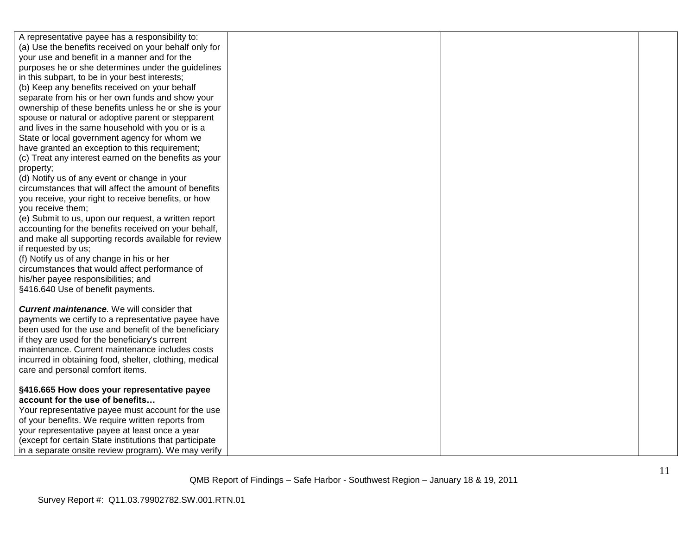| A representative payee has a responsibility to:                                                            |  |  |
|------------------------------------------------------------------------------------------------------------|--|--|
| (a) Use the benefits received on your behalf only for                                                      |  |  |
| your use and benefit in a manner and for the                                                               |  |  |
| purposes he or she determines under the guidelines                                                         |  |  |
| in this subpart, to be in your best interests;                                                             |  |  |
| (b) Keep any benefits received on your behalf                                                              |  |  |
| separate from his or her own funds and show your                                                           |  |  |
| ownership of these benefits unless he or she is your                                                       |  |  |
| spouse or natural or adoptive parent or stepparent                                                         |  |  |
| and lives in the same household with you or is a                                                           |  |  |
| State or local government agency for whom we                                                               |  |  |
| have granted an exception to this requirement;                                                             |  |  |
| (c) Treat any interest earned on the benefits as your                                                      |  |  |
| property;                                                                                                  |  |  |
| (d) Notify us of any event or change in your                                                               |  |  |
| circumstances that will affect the amount of benefits                                                      |  |  |
| you receive, your right to receive benefits, or how                                                        |  |  |
| you receive them;                                                                                          |  |  |
| (e) Submit to us, upon our request, a written report                                                       |  |  |
| accounting for the benefits received on your behalf,                                                       |  |  |
| and make all supporting records available for review                                                       |  |  |
| if requested by us;                                                                                        |  |  |
| (f) Notify us of any change in his or her                                                                  |  |  |
| circumstances that would affect performance of                                                             |  |  |
| his/her payee responsibilities; and                                                                        |  |  |
| §416.640 Use of benefit payments.                                                                          |  |  |
| <b>Current maintenance.</b> We will consider that                                                          |  |  |
|                                                                                                            |  |  |
| payments we certify to a representative payee have<br>been used for the use and benefit of the beneficiary |  |  |
| if they are used for the beneficiary's current                                                             |  |  |
| maintenance. Current maintenance includes costs                                                            |  |  |
| incurred in obtaining food, shelter, clothing, medical                                                     |  |  |
| care and personal comfort items.                                                                           |  |  |
|                                                                                                            |  |  |
| §416.665 How does your representative payee                                                                |  |  |
| account for the use of benefits                                                                            |  |  |
| Your representative payee must account for the use                                                         |  |  |
| of your benefits. We require written reports from                                                          |  |  |
| your representative payee at least once a year                                                             |  |  |
| (except for certain State institutions that participate                                                    |  |  |
| in a separate onsite review program). We may verify                                                        |  |  |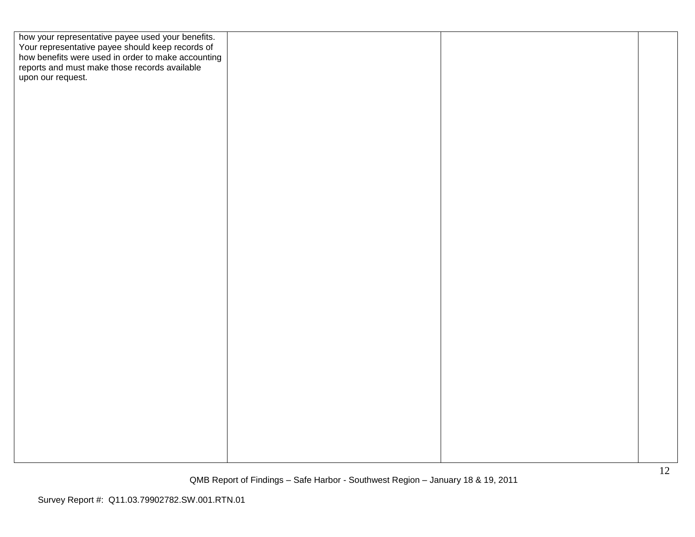| how your representative payee used your benefits.<br>Your representative payee should keep records of<br>how benefits were used in order to make accounting |  |  |
|-------------------------------------------------------------------------------------------------------------------------------------------------------------|--|--|
|                                                                                                                                                             |  |  |
|                                                                                                                                                             |  |  |
| reports and must make those records available<br>upon our request.                                                                                          |  |  |
|                                                                                                                                                             |  |  |
|                                                                                                                                                             |  |  |
|                                                                                                                                                             |  |  |
|                                                                                                                                                             |  |  |
|                                                                                                                                                             |  |  |
|                                                                                                                                                             |  |  |
|                                                                                                                                                             |  |  |
|                                                                                                                                                             |  |  |
|                                                                                                                                                             |  |  |
|                                                                                                                                                             |  |  |
|                                                                                                                                                             |  |  |
|                                                                                                                                                             |  |  |
|                                                                                                                                                             |  |  |
|                                                                                                                                                             |  |  |
|                                                                                                                                                             |  |  |
|                                                                                                                                                             |  |  |
|                                                                                                                                                             |  |  |
|                                                                                                                                                             |  |  |
|                                                                                                                                                             |  |  |
|                                                                                                                                                             |  |  |
|                                                                                                                                                             |  |  |
|                                                                                                                                                             |  |  |
|                                                                                                                                                             |  |  |
|                                                                                                                                                             |  |  |
|                                                                                                                                                             |  |  |
|                                                                                                                                                             |  |  |
|                                                                                                                                                             |  |  |
|                                                                                                                                                             |  |  |
|                                                                                                                                                             |  |  |
|                                                                                                                                                             |  |  |
|                                                                                                                                                             |  |  |
|                                                                                                                                                             |  |  |
|                                                                                                                                                             |  |  |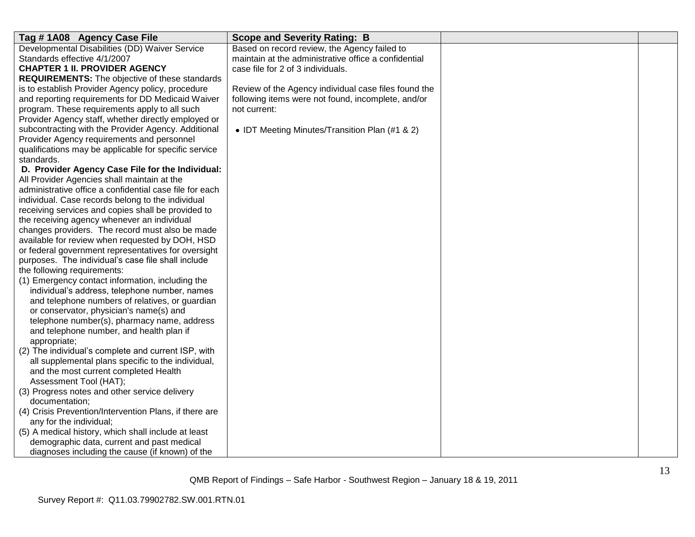| Tag #1A08 Agency Case File                                                                                                                                                             | <b>Scope and Severity Rating: B</b>                  |  |
|----------------------------------------------------------------------------------------------------------------------------------------------------------------------------------------|------------------------------------------------------|--|
| Developmental Disabilities (DD) Waiver Service                                                                                                                                         | Based on record review, the Agency failed to         |  |
| Standards effective 4/1/2007                                                                                                                                                           | maintain at the administrative office a confidential |  |
| <b>CHAPTER 1 II. PROVIDER AGENCY</b>                                                                                                                                                   | case file for 2 of 3 individuals.                    |  |
| <b>REQUIREMENTS:</b> The objective of these standards                                                                                                                                  |                                                      |  |
| is to establish Provider Agency policy, procedure                                                                                                                                      | Review of the Agency individual case files found the |  |
| and reporting requirements for DD Medicaid Waiver                                                                                                                                      | following items were not found, incomplete, and/or   |  |
| program. These requirements apply to all such                                                                                                                                          | not current:                                         |  |
| Provider Agency staff, whether directly employed or                                                                                                                                    |                                                      |  |
| subcontracting with the Provider Agency. Additional                                                                                                                                    | • IDT Meeting Minutes/Transition Plan (#1 & 2)       |  |
| Provider Agency requirements and personnel                                                                                                                                             |                                                      |  |
| qualifications may be applicable for specific service                                                                                                                                  |                                                      |  |
| standards.                                                                                                                                                                             |                                                      |  |
| D. Provider Agency Case File for the Individual:                                                                                                                                       |                                                      |  |
| All Provider Agencies shall maintain at the                                                                                                                                            |                                                      |  |
| administrative office a confidential case file for each                                                                                                                                |                                                      |  |
| individual. Case records belong to the individual                                                                                                                                      |                                                      |  |
| receiving services and copies shall be provided to                                                                                                                                     |                                                      |  |
| the receiving agency whenever an individual                                                                                                                                            |                                                      |  |
| changes providers. The record must also be made                                                                                                                                        |                                                      |  |
| available for review when requested by DOH, HSD                                                                                                                                        |                                                      |  |
| or federal government representatives for oversight                                                                                                                                    |                                                      |  |
| purposes. The individual's case file shall include                                                                                                                                     |                                                      |  |
| the following requirements:                                                                                                                                                            |                                                      |  |
| (1) Emergency contact information, including the                                                                                                                                       |                                                      |  |
| individual's address, telephone number, names                                                                                                                                          |                                                      |  |
| and telephone numbers of relatives, or guardian                                                                                                                                        |                                                      |  |
| or conservator, physician's name(s) and                                                                                                                                                |                                                      |  |
| telephone number(s), pharmacy name, address                                                                                                                                            |                                                      |  |
| and telephone number, and health plan if                                                                                                                                               |                                                      |  |
| appropriate;                                                                                                                                                                           |                                                      |  |
| (2) The individual's complete and current ISP, with                                                                                                                                    |                                                      |  |
| all supplemental plans specific to the individual,                                                                                                                                     |                                                      |  |
| and the most current completed Health                                                                                                                                                  |                                                      |  |
| Assessment Tool (HAT);                                                                                                                                                                 |                                                      |  |
| (3) Progress notes and other service delivery                                                                                                                                          |                                                      |  |
| documentation;                                                                                                                                                                         |                                                      |  |
|                                                                                                                                                                                        |                                                      |  |
|                                                                                                                                                                                        |                                                      |  |
|                                                                                                                                                                                        |                                                      |  |
|                                                                                                                                                                                        |                                                      |  |
| (4) Crisis Prevention/Intervention Plans, if there are<br>any for the individual;<br>(5) A medical history, which shall include at least<br>demographic data, current and past medical |                                                      |  |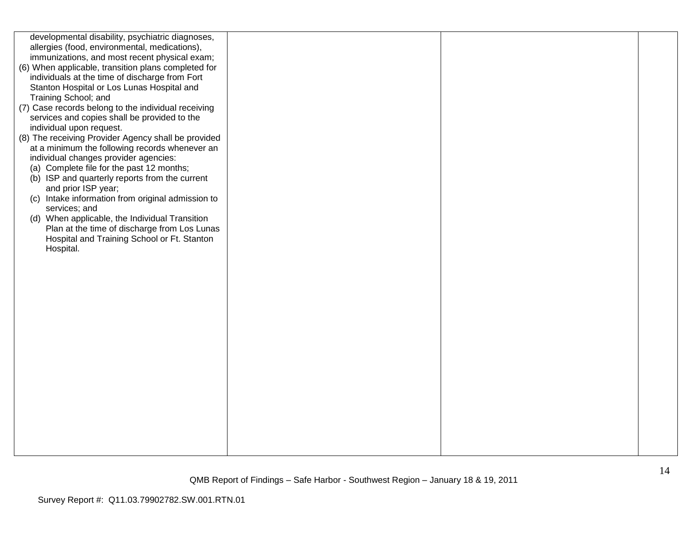| developmental disability, psychiatric diagnoses,    |  |  |
|-----------------------------------------------------|--|--|
| allergies (food, environmental, medications),       |  |  |
| immunizations, and most recent physical exam;       |  |  |
| (6) When applicable, transition plans completed for |  |  |
| individuals at the time of discharge from Fort      |  |  |
| Stanton Hospital or Los Lunas Hospital and          |  |  |
|                                                     |  |  |
| Training School; and                                |  |  |
| (7) Case records belong to the individual receiving |  |  |
| services and copies shall be provided to the        |  |  |
| individual upon request.                            |  |  |
| (8) The receiving Provider Agency shall be provided |  |  |
| at a minimum the following records whenever an      |  |  |
| individual changes provider agencies:               |  |  |
| (a) Complete file for the past 12 months;           |  |  |
| (b) ISP and quarterly reports from the current      |  |  |
| and prior ISP year;                                 |  |  |
| (c) Intake information from original admission to   |  |  |
| services; and                                       |  |  |
| (d) When applicable, the Individual Transition      |  |  |
| Plan at the time of discharge from Los Lunas        |  |  |
| Hospital and Training School or Ft. Stanton         |  |  |
|                                                     |  |  |
| Hospital.                                           |  |  |
|                                                     |  |  |
|                                                     |  |  |
|                                                     |  |  |
|                                                     |  |  |
|                                                     |  |  |
|                                                     |  |  |
|                                                     |  |  |
|                                                     |  |  |
|                                                     |  |  |
|                                                     |  |  |
|                                                     |  |  |
|                                                     |  |  |
|                                                     |  |  |
|                                                     |  |  |
|                                                     |  |  |
|                                                     |  |  |
|                                                     |  |  |
|                                                     |  |  |
|                                                     |  |  |
|                                                     |  |  |
|                                                     |  |  |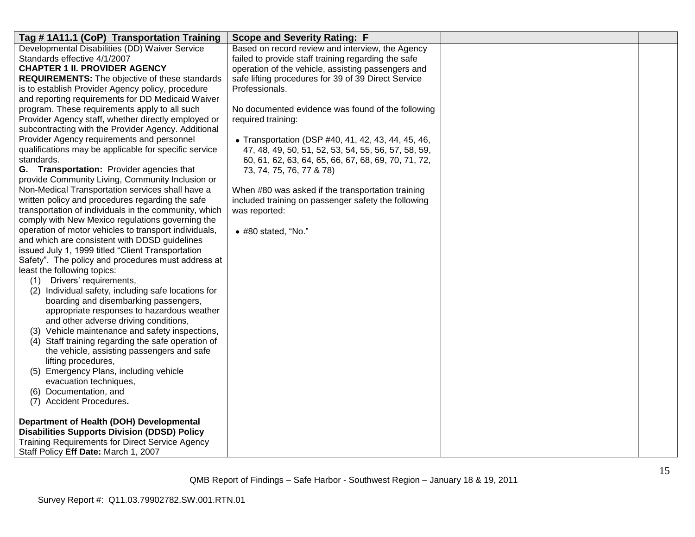| Tag # 1A11.1 (CoP) Transportation Training            | <b>Scope and Severity Rating: F</b>                 |  |
|-------------------------------------------------------|-----------------------------------------------------|--|
| Developmental Disabilities (DD) Waiver Service        | Based on record review and interview, the Agency    |  |
| Standards effective 4/1/2007                          | failed to provide staff training regarding the safe |  |
| <b>CHAPTER 1 II. PROVIDER AGENCY</b>                  | operation of the vehicle, assisting passengers and  |  |
| <b>REQUIREMENTS:</b> The objective of these standards | safe lifting procedures for 39 of 39 Direct Service |  |
| is to establish Provider Agency policy, procedure     | Professionals.                                      |  |
| and reporting requirements for DD Medicaid Waiver     |                                                     |  |
| program. These requirements apply to all such         | No documented evidence was found of the following   |  |
| Provider Agency staff, whether directly employed or   | required training:                                  |  |
| subcontracting with the Provider Agency. Additional   |                                                     |  |
| Provider Agency requirements and personnel            | • Transportation (DSP #40, 41, 42, 43, 44, 45, 46,  |  |
| qualifications may be applicable for specific service | 47, 48, 49, 50, 51, 52, 53, 54, 55, 56, 57, 58, 59, |  |
| standards.                                            | 60, 61, 62, 63, 64, 65, 66, 67, 68, 69, 70, 71, 72, |  |
| G. Transportation: Provider agencies that             | 73, 74, 75, 76, 77 & 78)                            |  |
| provide Community Living, Community Inclusion or      |                                                     |  |
| Non-Medical Transportation services shall have a      | When #80 was asked if the transportation training   |  |
| written policy and procedures regarding the safe      | included training on passenger safety the following |  |
| transportation of individuals in the community, which | was reported:                                       |  |
| comply with New Mexico regulations governing the      |                                                     |  |
| operation of motor vehicles to transport individuals, | $\bullet$ #80 stated, "No."                         |  |
| and which are consistent with DDSD guidelines         |                                                     |  |
| issued July 1, 1999 titled "Client Transportation     |                                                     |  |
| Safety". The policy and procedures must address at    |                                                     |  |
| least the following topics:                           |                                                     |  |
| (1)<br>Drivers' requirements,                         |                                                     |  |
| (2) Individual safety, including safe locations for   |                                                     |  |
| boarding and disembarking passengers,                 |                                                     |  |
| appropriate responses to hazardous weather            |                                                     |  |
| and other adverse driving conditions,                 |                                                     |  |
| (3) Vehicle maintenance and safety inspections,       |                                                     |  |
| (4) Staff training regarding the safe operation of    |                                                     |  |
| the vehicle, assisting passengers and safe            |                                                     |  |
| lifting procedures,                                   |                                                     |  |
| (5) Emergency Plans, including vehicle                |                                                     |  |
| evacuation techniques,                                |                                                     |  |
| (6) Documentation, and                                |                                                     |  |
| (7) Accident Procedures.                              |                                                     |  |
|                                                       |                                                     |  |
| Department of Health (DOH) Developmental              |                                                     |  |
| <b>Disabilities Supports Division (DDSD) Policy</b>   |                                                     |  |
| Training Requirements for Direct Service Agency       |                                                     |  |
| Staff Policy Eff Date: March 1, 2007                  |                                                     |  |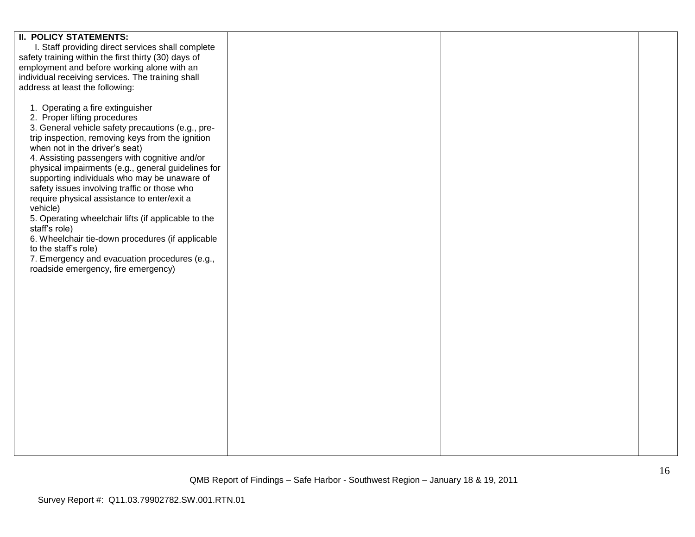| <b>II. POLICY STATEMENTS:</b>                        |  |  |
|------------------------------------------------------|--|--|
| I. Staff providing direct services shall complete    |  |  |
| safety training within the first thirty (30) days of |  |  |
|                                                      |  |  |
| employment and before working alone with an          |  |  |
| individual receiving services. The training shall    |  |  |
| address at least the following:                      |  |  |
|                                                      |  |  |
| 1. Operating a fire extinguisher                     |  |  |
|                                                      |  |  |
| 2. Proper lifting procedures                         |  |  |
| 3. General vehicle safety precautions (e.g., pre-    |  |  |
| trip inspection, removing keys from the ignition     |  |  |
| when not in the driver's seat)                       |  |  |
| 4. Assisting passengers with cognitive and/or        |  |  |
| physical impairments (e.g., general guidelines for   |  |  |
|                                                      |  |  |
| supporting individuals who may be unaware of         |  |  |
| safety issues involving traffic or those who         |  |  |
| require physical assistance to enter/exit a          |  |  |
| vehicle)                                             |  |  |
| 5. Operating wheelchair lifts (if applicable to the  |  |  |
| staff's role)                                        |  |  |
|                                                      |  |  |
| 6. Wheelchair tie-down procedures (if applicable     |  |  |
| to the staff's role)                                 |  |  |
| 7. Emergency and evacuation procedures (e.g.,        |  |  |
| roadside emergency, fire emergency)                  |  |  |
|                                                      |  |  |
|                                                      |  |  |
|                                                      |  |  |
|                                                      |  |  |
|                                                      |  |  |
|                                                      |  |  |
|                                                      |  |  |
|                                                      |  |  |
|                                                      |  |  |
|                                                      |  |  |
|                                                      |  |  |
|                                                      |  |  |
|                                                      |  |  |
|                                                      |  |  |
|                                                      |  |  |
|                                                      |  |  |
|                                                      |  |  |
|                                                      |  |  |
|                                                      |  |  |
|                                                      |  |  |
|                                                      |  |  |
|                                                      |  |  |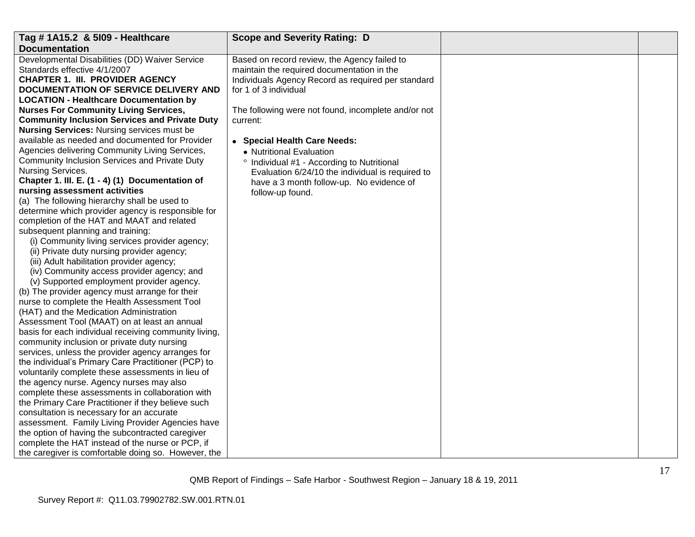| Tag # 1A15.2 & 5109 - Healthcare                      | <b>Scope and Severity Rating: D</b>                   |  |
|-------------------------------------------------------|-------------------------------------------------------|--|
| <b>Documentation</b>                                  |                                                       |  |
| Developmental Disabilities (DD) Waiver Service        | Based on record review, the Agency failed to          |  |
| Standards effective 4/1/2007                          | maintain the required documentation in the            |  |
| <b>CHAPTER 1. III. PROVIDER AGENCY</b>                | Individuals Agency Record as required per standard    |  |
| DOCUMENTATION OF SERVICE DELIVERY AND                 | for 1 of 3 individual                                 |  |
| <b>LOCATION - Healthcare Documentation by</b>         |                                                       |  |
| <b>Nurses For Community Living Services,</b>          | The following were not found, incomplete and/or not   |  |
| <b>Community Inclusion Services and Private Duty</b>  | current:                                              |  |
| <b>Nursing Services: Nursing services must be</b>     |                                                       |  |
| available as needed and documented for Provider       | • Special Health Care Needs:                          |  |
| Agencies delivering Community Living Services,        | • Nutritional Evaluation                              |  |
| Community Inclusion Services and Private Duty         | <sup>o</sup> Individual #1 - According to Nutritional |  |
| Nursing Services.                                     | Evaluation 6/24/10 the individual is required to      |  |
| Chapter 1. III. E. (1 - 4) (1) Documentation of       | have a 3 month follow-up. No evidence of              |  |
| nursing assessment activities                         | follow-up found.                                      |  |
| (a) The following hierarchy shall be used to          |                                                       |  |
| determine which provider agency is responsible for    |                                                       |  |
| completion of the HAT and MAAT and related            |                                                       |  |
| subsequent planning and training:                     |                                                       |  |
| (i) Community living services provider agency;        |                                                       |  |
| (ii) Private duty nursing provider agency;            |                                                       |  |
| (iii) Adult habilitation provider agency;             |                                                       |  |
| (iv) Community access provider agency; and            |                                                       |  |
| (v) Supported employment provider agency.             |                                                       |  |
| (b) The provider agency must arrange for their        |                                                       |  |
| nurse to complete the Health Assessment Tool          |                                                       |  |
| (HAT) and the Medication Administration               |                                                       |  |
| Assessment Tool (MAAT) on at least an annual          |                                                       |  |
| basis for each individual receiving community living, |                                                       |  |
| community inclusion or private duty nursing           |                                                       |  |
| services, unless the provider agency arranges for     |                                                       |  |
| the individual's Primary Care Practitioner (PCP) to   |                                                       |  |
| voluntarily complete these assessments in lieu of     |                                                       |  |
| the agency nurse. Agency nurses may also              |                                                       |  |
| complete these assessments in collaboration with      |                                                       |  |
| the Primary Care Practitioner if they believe such    |                                                       |  |
| consultation is necessary for an accurate             |                                                       |  |
| assessment. Family Living Provider Agencies have      |                                                       |  |
| the option of having the subcontracted caregiver      |                                                       |  |
| complete the HAT instead of the nurse or PCP, if      |                                                       |  |
| the caregiver is comfortable doing so. However, the   |                                                       |  |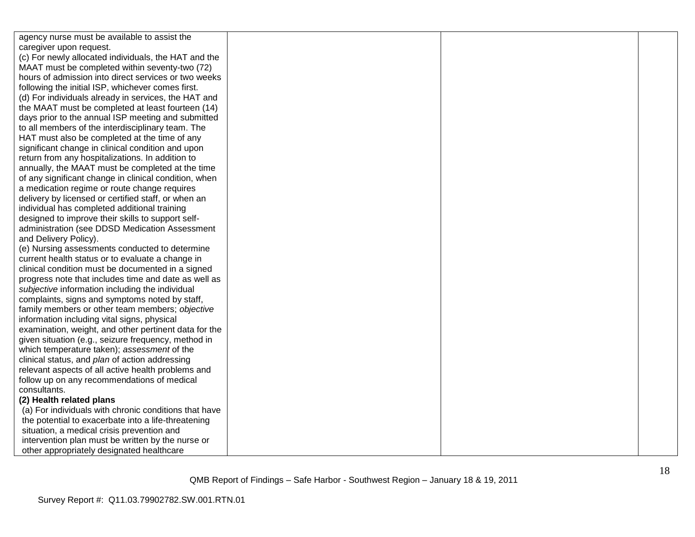| agency nurse must be available to assist the          |  |  |
|-------------------------------------------------------|--|--|
| caregiver upon request.                               |  |  |
| (c) For newly allocated individuals, the HAT and the  |  |  |
| MAAT must be completed within seventy-two (72)        |  |  |
| hours of admission into direct services or two weeks  |  |  |
| following the initial ISP, whichever comes first.     |  |  |
| (d) For individuals already in services, the HAT and  |  |  |
| the MAAT must be completed at least fourteen (14)     |  |  |
| days prior to the annual ISP meeting and submitted    |  |  |
| to all members of the interdisciplinary team. The     |  |  |
| HAT must also be completed at the time of any         |  |  |
| significant change in clinical condition and upon     |  |  |
| return from any hospitalizations. In addition to      |  |  |
| annually, the MAAT must be completed at the time      |  |  |
| of any significant change in clinical condition, when |  |  |
| a medication regime or route change requires          |  |  |
| delivery by licensed or certified staff, or when an   |  |  |
| individual has completed additional training          |  |  |
| designed to improve their skills to support self-     |  |  |
| administration (see DDSD Medication Assessment        |  |  |
| and Delivery Policy).                                 |  |  |
| (e) Nursing assessments conducted to determine        |  |  |
| current health status or to evaluate a change in      |  |  |
| clinical condition must be documented in a signed     |  |  |
| progress note that includes time and date as well as  |  |  |
| subjective information including the individual       |  |  |
| complaints, signs and symptoms noted by staff,        |  |  |
| family members or other team members; objective       |  |  |
| information including vital signs, physical           |  |  |
| examination, weight, and other pertinent data for the |  |  |
| given situation (e.g., seizure frequency, method in   |  |  |
| which temperature taken); assessment of the           |  |  |
| clinical status, and plan of action addressing        |  |  |
| relevant aspects of all active health problems and    |  |  |
| follow up on any recommendations of medical           |  |  |
| consultants.                                          |  |  |
| (2) Health related plans                              |  |  |
| (a) For individuals with chronic conditions that have |  |  |
| the potential to exacerbate into a life-threatening   |  |  |
| situation, a medical crisis prevention and            |  |  |
| intervention plan must be written by the nurse or     |  |  |
| other appropriately designated healthcare             |  |  |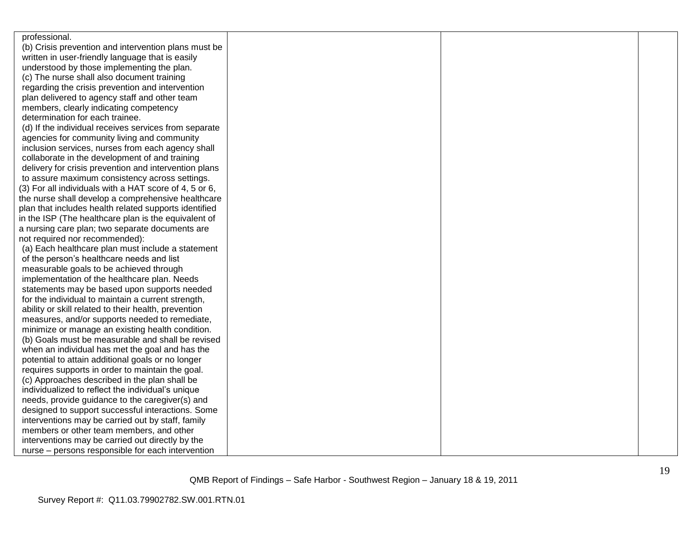| professional.                                          |  |  |
|--------------------------------------------------------|--|--|
| (b) Crisis prevention and intervention plans must be   |  |  |
| written in user-friendly language that is easily       |  |  |
| understood by those implementing the plan.             |  |  |
| (c) The nurse shall also document training             |  |  |
| regarding the crisis prevention and intervention       |  |  |
| plan delivered to agency staff and other team          |  |  |
| members, clearly indicating competency                 |  |  |
| determination for each trainee.                        |  |  |
| (d) If the individual receives services from separate  |  |  |
| agencies for community living and community            |  |  |
| inclusion services, nurses from each agency shall      |  |  |
| collaborate in the development of and training         |  |  |
| delivery for crisis prevention and intervention plans  |  |  |
| to assure maximum consistency across settings.         |  |  |
| (3) For all individuals with a HAT score of 4, 5 or 6, |  |  |
| the nurse shall develop a comprehensive healthcare     |  |  |
| plan that includes health related supports identified  |  |  |
| in the ISP (The healthcare plan is the equivalent of   |  |  |
| a nursing care plan; two separate documents are        |  |  |
| not required nor recommended):                         |  |  |
| (a) Each healthcare plan must include a statement      |  |  |
| of the person's healthcare needs and list              |  |  |
| measurable goals to be achieved through                |  |  |
| implementation of the healthcare plan. Needs           |  |  |
| statements may be based upon supports needed           |  |  |
| for the individual to maintain a current strength,     |  |  |
| ability or skill related to their health, prevention   |  |  |
| measures, and/or supports needed to remediate,         |  |  |
| minimize or manage an existing health condition.       |  |  |
| (b) Goals must be measurable and shall be revised      |  |  |
| when an individual has met the goal and has the        |  |  |
| potential to attain additional goals or no longer      |  |  |
| requires supports in order to maintain the goal.       |  |  |
| (c) Approaches described in the plan shall be          |  |  |
| individualized to reflect the individual's unique      |  |  |
| needs, provide guidance to the caregiver(s) and        |  |  |
| designed to support successful interactions. Some      |  |  |
| interventions may be carried out by staff, family      |  |  |
| members or other team members, and other               |  |  |
| interventions may be carried out directly by the       |  |  |
| nurse - persons responsible for each intervention      |  |  |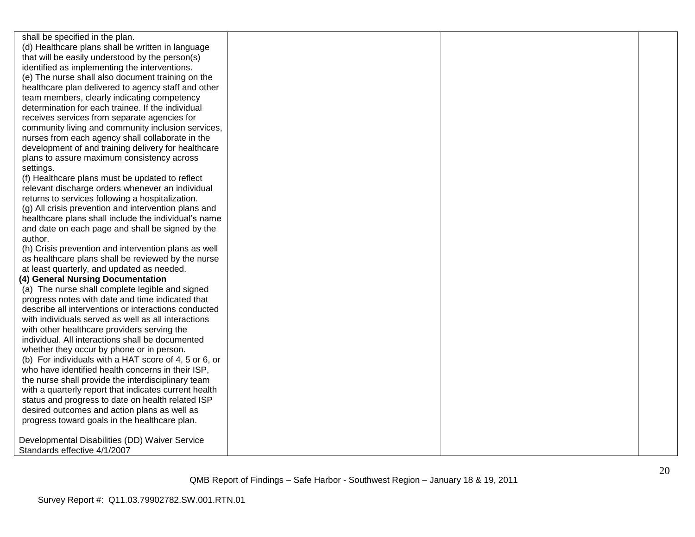shall be specified in the plan. (d) Healthcare plans shall be written in language that will be easily understood by the person(s) identified as implementing the interventions. (e) The nurse shall also document training on the healthcare plan delivered to agency staff and other team members, clearly indicating competency determination for each trainee. If the individual receives services from separate agencies for community living and community inclusion services, nurses from each agency shall collaborate in the development of and training delivery for healthcare plans to assure maximum consistency across settings.

(f) Healthcare plans must be updated to reflect relevant discharge orders whenever an individual returns to services following a hospitalization.

(g) All crisis prevention and intervention plans and healthcare plans shall include the individual's name and date on each page and shall be signed by the author.

(h) Crisis prevention and intervention plans as well as healthcare plans shall be reviewed by the nurse at least quarterly, and updated as needed.

#### **(4) General Nursing Documentation**

(a) The nurse shall complete legible and signed progress notes with date and time indicated that describe all interventions or interactions conducted with individuals served as well as all interactions with other healthcare providers serving the individual. All interactions shall be documented whether they occur by phone or in person. (b) For individuals with a HAT score of 4, 5 or 6, or who have identified health concerns in their ISP, the nurse shall provide the interdisciplinary team with a quarterly report that indicates current health status and progress to date on health related ISP desired outcomes and action plans as well as progress toward goals in the healthcare plan.

Developmental Disabilities (DD) Waiver Service Standards effective 4/1/2007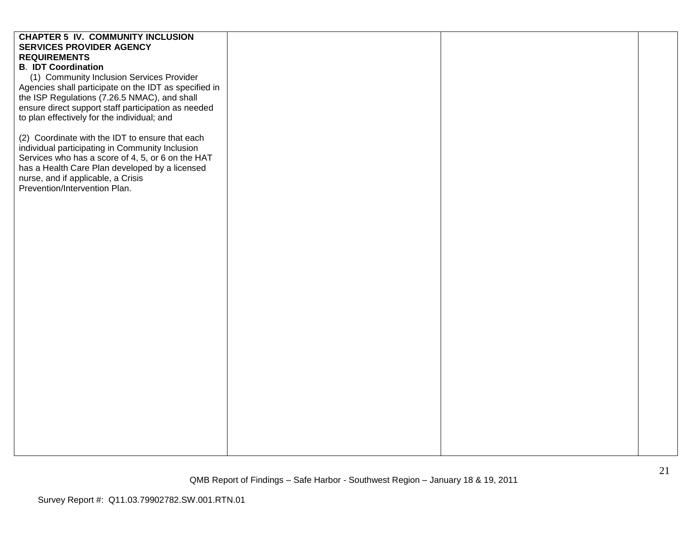# **CHAPTER 5 IV. COMMUNITY INCLUSION SERVICES PROVIDER AGENCY REQUIREMENTS B**. **IDT Coordination** (1) Community Inclusion Services Provider Agencies shall participate on the IDT as specified in the ISP Regulations (7.26.5 NMAC), and shall ensure direct support staff participation as needed to plan effectively for the individual; and (2) Coordinate with the IDT to ensure that each individual participating in Community Inclusion Services who has a score of 4, 5, or 6 on the HAT has a Health Care Plan developed by a licensed nurse, and if applicable, a Crisis Prevention/Intervention Plan.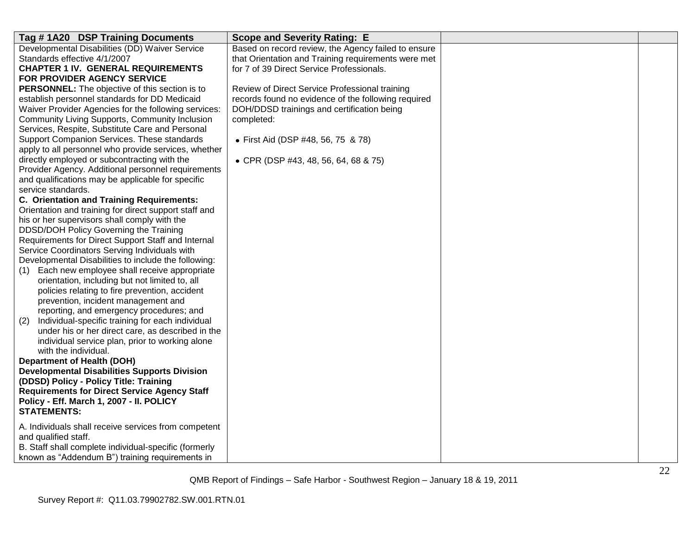| Tag #1A20 DSP Training Documents<br><b>Scope and Severity Rating: E</b>                                 |  |
|---------------------------------------------------------------------------------------------------------|--|
| Developmental Disabilities (DD) Waiver Service<br>Based on record review, the Agency failed to ensure   |  |
| Standards effective 4/1/2007<br>that Orientation and Training requirements were met                     |  |
| for 7 of 39 Direct Service Professionals.<br><b>CHAPTER 1 IV. GENERAL REQUIREMENTS</b>                  |  |
| FOR PROVIDER AGENCY SERVICE                                                                             |  |
| <b>PERSONNEL:</b> The objective of this section is to<br>Review of Direct Service Professional training |  |
| establish personnel standards for DD Medicaid<br>records found no evidence of the following required    |  |
| Waiver Provider Agencies for the following services:<br>DOH/DDSD trainings and certification being      |  |
| Community Living Supports, Community Inclusion<br>completed:                                            |  |
| Services, Respite, Substitute Care and Personal                                                         |  |
| Support Companion Services. These standards<br>• First Aid (DSP #48, 56, 75 & 78)                       |  |
| apply to all personnel who provide services, whether                                                    |  |
| directly employed or subcontracting with the<br>• CPR (DSP #43, 48, 56, 64, 68 & 75)                    |  |
| Provider Agency. Additional personnel requirements                                                      |  |
| and qualifications may be applicable for specific                                                       |  |
| service standards.                                                                                      |  |
| C. Orientation and Training Requirements:                                                               |  |
| Orientation and training for direct support staff and                                                   |  |
| his or her supervisors shall comply with the                                                            |  |
| DDSD/DOH Policy Governing the Training                                                                  |  |
| Requirements for Direct Support Staff and Internal                                                      |  |
| Service Coordinators Serving Individuals with                                                           |  |
| Developmental Disabilities to include the following:                                                    |  |
| Each new employee shall receive appropriate<br>(1)<br>orientation, including but not limited to, all    |  |
| policies relating to fire prevention, accident                                                          |  |
| prevention, incident management and                                                                     |  |
| reporting, and emergency procedures; and                                                                |  |
| Individual-specific training for each individual<br>(2)                                                 |  |
| under his or her direct care, as described in the                                                       |  |
| individual service plan, prior to working alone                                                         |  |
| with the individual.                                                                                    |  |
| <b>Department of Health (DOH)</b>                                                                       |  |
| <b>Developmental Disabilities Supports Division</b>                                                     |  |
| (DDSD) Policy - Policy Title: Training                                                                  |  |
| <b>Requirements for Direct Service Agency Staff</b>                                                     |  |
| Policy - Eff. March 1, 2007 - II. POLICY                                                                |  |
| <b>STATEMENTS:</b>                                                                                      |  |
|                                                                                                         |  |
| A. Individuals shall receive services from competent<br>and qualified staff.                            |  |
| B. Staff shall complete individual-specific (formerly                                                   |  |
| known as "Addendum B") training requirements in                                                         |  |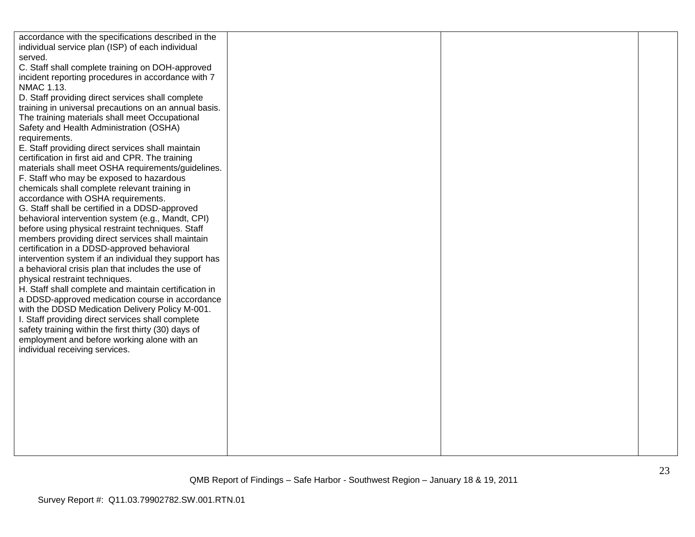| accordance with the specifications described in the                |  |  |
|--------------------------------------------------------------------|--|--|
| individual service plan (ISP) of each individual                   |  |  |
| served.                                                            |  |  |
| C. Staff shall complete training on DOH-approved                   |  |  |
| incident reporting procedures in accordance with 7                 |  |  |
| NMAC 1.13.                                                         |  |  |
| D. Staff providing direct services shall complete                  |  |  |
| training in universal precautions on an annual basis.              |  |  |
| The training materials shall meet Occupational                     |  |  |
| Safety and Health Administration (OSHA)                            |  |  |
| requirements.<br>E. Staff providing direct services shall maintain |  |  |
| certification in first aid and CPR. The training                   |  |  |
| materials shall meet OSHA requirements/guidelines.                 |  |  |
| F. Staff who may be exposed to hazardous                           |  |  |
| chemicals shall complete relevant training in                      |  |  |
| accordance with OSHA requirements.                                 |  |  |
| G. Staff shall be certified in a DDSD-approved                     |  |  |
| behavioral intervention system (e.g., Mandt, CPI)                  |  |  |
| before using physical restraint techniques. Staff                  |  |  |
| members providing direct services shall maintain                   |  |  |
| certification in a DDSD-approved behavioral                        |  |  |
| intervention system if an individual they support has              |  |  |
| a behavioral crisis plan that includes the use of                  |  |  |
| physical restraint techniques.                                     |  |  |
| H. Staff shall complete and maintain certification in              |  |  |
| a DDSD-approved medication course in accordance                    |  |  |
| with the DDSD Medication Delivery Policy M-001.                    |  |  |
| I. Staff providing direct services shall complete                  |  |  |
| safety training within the first thirty (30) days of               |  |  |
| employment and before working alone with an                        |  |  |
| individual receiving services.                                     |  |  |
|                                                                    |  |  |
|                                                                    |  |  |
|                                                                    |  |  |
|                                                                    |  |  |
|                                                                    |  |  |
|                                                                    |  |  |
|                                                                    |  |  |
|                                                                    |  |  |
|                                                                    |  |  |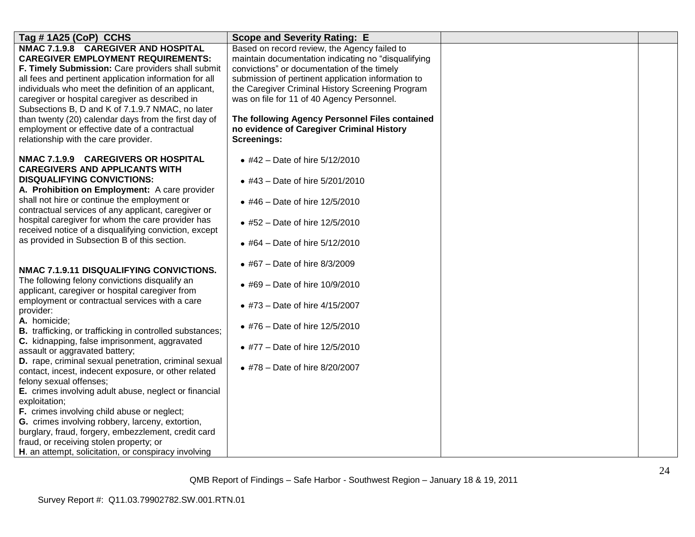| Tag # 1A25 (CoP) CCHS                                                                                                                                                                                                                                                                                                                                                                                                                                                                                                                                                                                                                                                                                                                                                                                         | <b>Scope and Severity Rating: E</b>                                                                                                                                                                                                                                                                                                                                                                                             |  |
|---------------------------------------------------------------------------------------------------------------------------------------------------------------------------------------------------------------------------------------------------------------------------------------------------------------------------------------------------------------------------------------------------------------------------------------------------------------------------------------------------------------------------------------------------------------------------------------------------------------------------------------------------------------------------------------------------------------------------------------------------------------------------------------------------------------|---------------------------------------------------------------------------------------------------------------------------------------------------------------------------------------------------------------------------------------------------------------------------------------------------------------------------------------------------------------------------------------------------------------------------------|--|
| NMAC 7.1.9.8 CAREGIVER AND HOSPITAL<br><b>CAREGIVER EMPLOYMENT REQUIREMENTS:</b><br>F. Timely Submission: Care providers shall submit<br>all fees and pertinent application information for all<br>individuals who meet the definition of an applicant,<br>caregiver or hospital caregiver as described in<br>Subsections B, D and K of 7.1.9.7 NMAC, no later<br>than twenty (20) calendar days from the first day of<br>employment or effective date of a contractual<br>relationship with the care provider.                                                                                                                                                                                                                                                                                               | Based on record review, the Agency failed to<br>maintain documentation indicating no "disqualifying<br>convictions" or documentation of the timely<br>submission of pertinent application information to<br>the Caregiver Criminal History Screening Program<br>was on file for 11 of 40 Agency Personnel.<br>The following Agency Personnel Files contained<br>no evidence of Caregiver Criminal History<br><b>Screenings:</b> |  |
| NMAC 7.1.9.9 CAREGIVERS OR HOSPITAL<br><b>CAREGIVERS AND APPLICANTS WITH</b><br><b>DISQUALIFYING CONVICTIONS:</b><br>A. Prohibition on Employment: A care provider<br>shall not hire or continue the employment or<br>contractual services of any applicant, caregiver or<br>hospital caregiver for whom the care provider has<br>received notice of a disqualifying conviction, except<br>as provided in Subsection B of this section.                                                                                                                                                                                                                                                                                                                                                                       | • #42 - Date of hire $5/12/2010$<br>• #43 - Date of hire 5/201/2010<br>• #46 – Date of hire $12/5/2010$<br>• #52 – Date of hire $12/5/2010$<br>• #64 – Date of hire $5/12/2010$                                                                                                                                                                                                                                                 |  |
| NMAC 7.1.9.11 DISQUALIFYING CONVICTIONS.<br>The following felony convictions disqualify an<br>applicant, caregiver or hospital caregiver from<br>employment or contractual services with a care<br>provider:<br>A. homicide;<br><b>B.</b> trafficking, or trafficking in controlled substances;<br>C. kidnapping, false imprisonment, aggravated<br>assault or aggravated battery;<br>D. rape, criminal sexual penetration, criminal sexual<br>contact, incest, indecent exposure, or other related<br>felony sexual offenses;<br>E. crimes involving adult abuse, neglect or financial<br>exploitation;<br>F. crimes involving child abuse or neglect;<br>G. crimes involving robbery, larceny, extortion,<br>burglary, fraud, forgery, embezzlement, credit card<br>fraud, or receiving stolen property; or | • #67 – Date of hire $8/3/2009$<br>• #69 – Date of hire $10/9/2010$<br>• #73 - Date of hire 4/15/2007<br>• #76 - Date of hire 12/5/2010<br>• #77 - Date of hire 12/5/2010<br>• #78 - Date of hire 8/20/2007                                                                                                                                                                                                                     |  |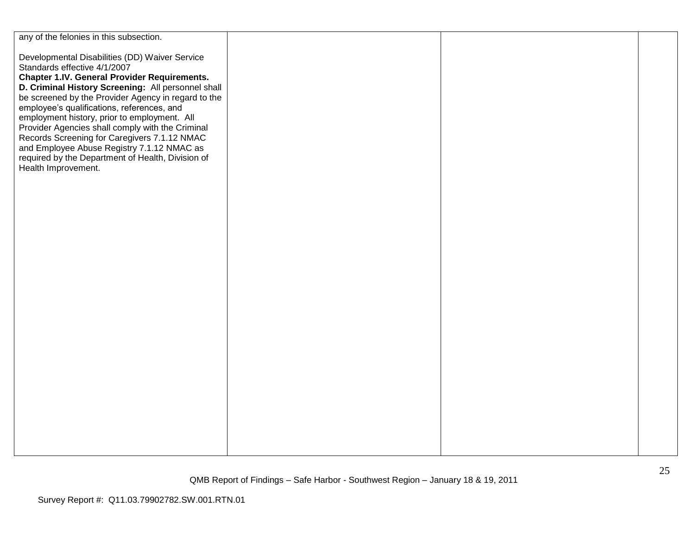| any of the felonies in this subsection.                                                                                                                                                                                                                                                                                                                                                              |  |  |
|------------------------------------------------------------------------------------------------------------------------------------------------------------------------------------------------------------------------------------------------------------------------------------------------------------------------------------------------------------------------------------------------------|--|--|
| Developmental Disabilities (DD) Waiver Service<br>Standards effective 4/1/2007<br><b>Chapter 1.IV. General Provider Requirements.</b><br>D. Criminal History Screening: All personnel shall<br>be screened by the Provider Agency in regard to the<br>employee's qualifications, references, and<br>employment history, prior to employment. All<br>Provider Agencies shall comply with the Criminal |  |  |
| Records Screening for Caregivers 7.1.12 NMAC<br>and Employee Abuse Registry 7.1.12 NMAC as<br>required by the Department of Health, Division of<br>Health Improvement.                                                                                                                                                                                                                               |  |  |
|                                                                                                                                                                                                                                                                                                                                                                                                      |  |  |
|                                                                                                                                                                                                                                                                                                                                                                                                      |  |  |
|                                                                                                                                                                                                                                                                                                                                                                                                      |  |  |
|                                                                                                                                                                                                                                                                                                                                                                                                      |  |  |
|                                                                                                                                                                                                                                                                                                                                                                                                      |  |  |
|                                                                                                                                                                                                                                                                                                                                                                                                      |  |  |
|                                                                                                                                                                                                                                                                                                                                                                                                      |  |  |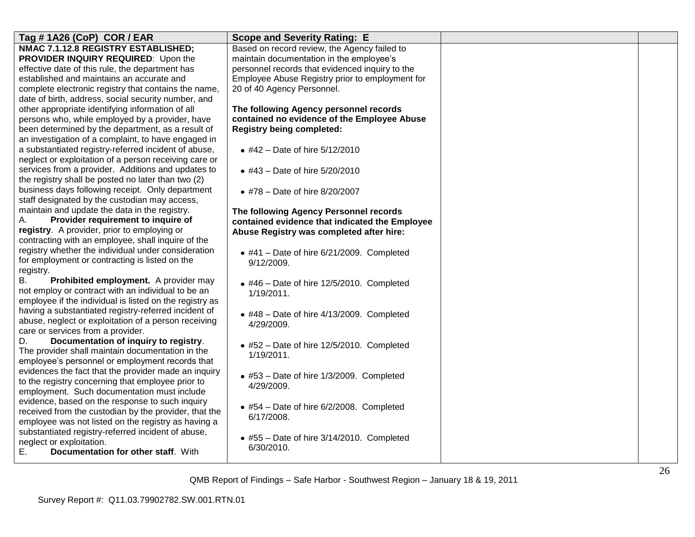| Tag # 1A26 (CoP) COR / EAR                              | <b>Scope and Severity Rating: E</b>               |  |
|---------------------------------------------------------|---------------------------------------------------|--|
| NMAC 7.1.12.8 REGISTRY ESTABLISHED;                     | Based on record review, the Agency failed to      |  |
| PROVIDER INQUIRY REQUIRED: Upon the                     | maintain documentation in the employee's          |  |
| effective date of this rule, the department has         | personnel records that evidenced inquiry to the   |  |
| established and maintains an accurate and               | Employee Abuse Registry prior to employment for   |  |
| complete electronic registry that contains the name,    | 20 of 40 Agency Personnel.                        |  |
| date of birth, address, social security number, and     |                                                   |  |
| other appropriate identifying information of all        | The following Agency personnel records            |  |
| persons who, while employed by a provider, have         | contained no evidence of the Employee Abuse       |  |
| been determined by the department, as a result of       | <b>Registry being completed:</b>                  |  |
| an investigation of a complaint, to have engaged in     |                                                   |  |
| a substantiated registry-referred incident of abuse,    | • #42 - Date of hire 5/12/2010                    |  |
| neglect or exploitation of a person receiving care or   |                                                   |  |
| services from a provider. Additions and updates to      | • #43 - Date of hire 5/20/2010                    |  |
| the registry shall be posted no later than two (2)      |                                                   |  |
| business days following receipt. Only department        | • #78 - Date of hire 8/20/2007                    |  |
| staff designated by the custodian may access,           |                                                   |  |
| maintain and update the data in the registry.           | The following Agency Personnel records            |  |
| Provider requirement to inquire of<br>А.                | contained evidence that indicated the Employee    |  |
| registry. A provider, prior to employing or             | Abuse Registry was completed after hire:          |  |
| contracting with an employee, shall inquire of the      |                                                   |  |
| registry whether the individual under consideration     | $*$ #41 - Date of hire 6/21/2009. Completed       |  |
| for employment or contracting is listed on the          | 9/12/2009.                                        |  |
| registry.                                               |                                                   |  |
| Prohibited employment. A provider may<br>В.             | $*$ #46 - Date of hire 12/5/2010. Completed       |  |
| not employ or contract with an individual to be an      | 1/19/2011.                                        |  |
| employee if the individual is listed on the registry as |                                                   |  |
| having a substantiated registry-referred incident of    | $\bullet$ #48 - Date of hire 4/13/2009. Completed |  |
| abuse, neglect or exploitation of a person receiving    | 4/29/2009.                                        |  |
| care or services from a provider.                       |                                                   |  |
| Documentation of inquiry to registry.<br>D.             | $*$ #52 - Date of hire 12/5/2010. Completed       |  |
| The provider shall maintain documentation in the        | 1/19/2011.                                        |  |
| employee's personnel or employment records that         |                                                   |  |
| evidences the fact that the provider made an inquiry    | • #53 - Date of hire 1/3/2009. Completed          |  |
| to the registry concerning that employee prior to       | 4/29/2009.                                        |  |
| employment. Such documentation must include             |                                                   |  |
| evidence, based on the response to such inquiry         | $\bullet$ #54 - Date of hire 6/2/2008. Completed  |  |
| received from the custodian by the provider, that the   | 6/17/2008.                                        |  |
| employee was not listed on the registry as having a     |                                                   |  |
| substantiated registry-referred incident of abuse,      | $*$ #55 - Date of hire 3/14/2010. Completed       |  |
| neglect or exploitation.                                | 6/30/2010.                                        |  |
| Documentation for other staff. With<br>Е.               |                                                   |  |
|                                                         |                                                   |  |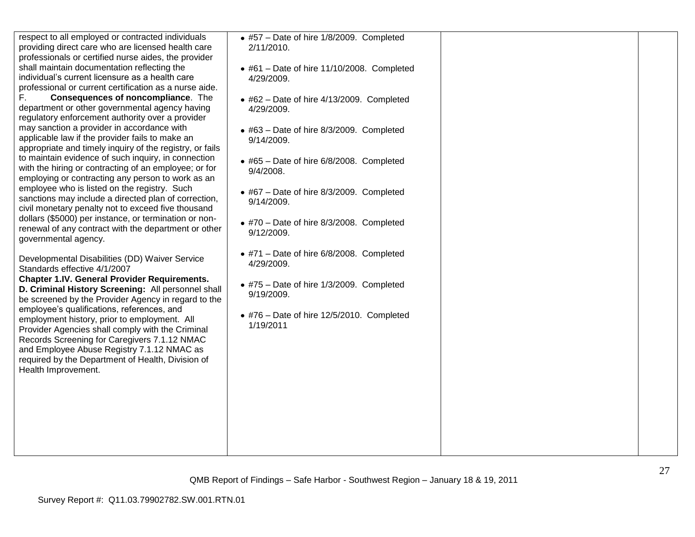| respect to all employed or contracted individuals<br>providing direct care who are licensed health care<br>professionals or certified nurse aides, the provider<br>shall maintain documentation reflecting the<br>individual's current licensure as a health care<br>professional or current certification as a nurse aide.<br>F.<br>Consequences of noncompliance. The<br>department or other governmental agency having<br>regulatory enforcement authority over a provider<br>may sanction a provider in accordance with<br>applicable law if the provider fails to make an<br>appropriate and timely inquiry of the registry, or fails<br>to maintain evidence of such inquiry, in connection<br>with the hiring or contracting of an employee; or for<br>employing or contracting any person to work as an<br>employee who is listed on the registry. Such<br>sanctions may include a directed plan of correction,<br>civil monetary penalty not to exceed five thousand<br>dollars (\$5000) per instance, or termination or non-<br>renewal of any contract with the department or other<br>governmental agency. | • #57 - Date of hire 1/8/2009. Completed<br>2/11/2010.<br>$\bullet$ #61 - Date of hire 11/10/2008. Completed<br>4/29/2009.<br>$\bullet$ #62 - Date of hire 4/13/2009. Completed<br>4/29/2009.<br>$\bullet$ #63 - Date of hire 8/3/2009. Completed<br>9/14/2009.<br>$\bullet$ #65 - Date of hire 6/8/2008. Completed<br>9/4/2008.<br>$\bullet$ #67 - Date of hire 8/3/2009. Completed<br>9/14/2009.<br>$\bullet$ #70 – Date of hire 8/3/2008. Completed<br>9/12/2009. |  |
|------------------------------------------------------------------------------------------------------------------------------------------------------------------------------------------------------------------------------------------------------------------------------------------------------------------------------------------------------------------------------------------------------------------------------------------------------------------------------------------------------------------------------------------------------------------------------------------------------------------------------------------------------------------------------------------------------------------------------------------------------------------------------------------------------------------------------------------------------------------------------------------------------------------------------------------------------------------------------------------------------------------------------------------------------------------------------------------------------------------------|----------------------------------------------------------------------------------------------------------------------------------------------------------------------------------------------------------------------------------------------------------------------------------------------------------------------------------------------------------------------------------------------------------------------------------------------------------------------|--|
| Developmental Disabilities (DD) Waiver Service<br>Standards effective 4/1/2007<br><b>Chapter 1.IV. General Provider Requirements.</b><br>D. Criminal History Screening: All personnel shall<br>be screened by the Provider Agency in regard to the<br>employee's qualifications, references, and<br>employment history, prior to employment. All<br>Provider Agencies shall comply with the Criminal<br>Records Screening for Caregivers 7.1.12 NMAC<br>and Employee Abuse Registry 7.1.12 NMAC as<br>required by the Department of Health, Division of<br>Health Improvement.                                                                                                                                                                                                                                                                                                                                                                                                                                                                                                                                         | • #71 - Date of hire 6/8/2008. Completed<br>4/29/2009.<br>$\bullet$ #75 - Date of hire 1/3/2009. Completed<br>9/19/2009.<br>$\bullet$ #76 - Date of hire 12/5/2010. Completed<br>1/19/2011                                                                                                                                                                                                                                                                           |  |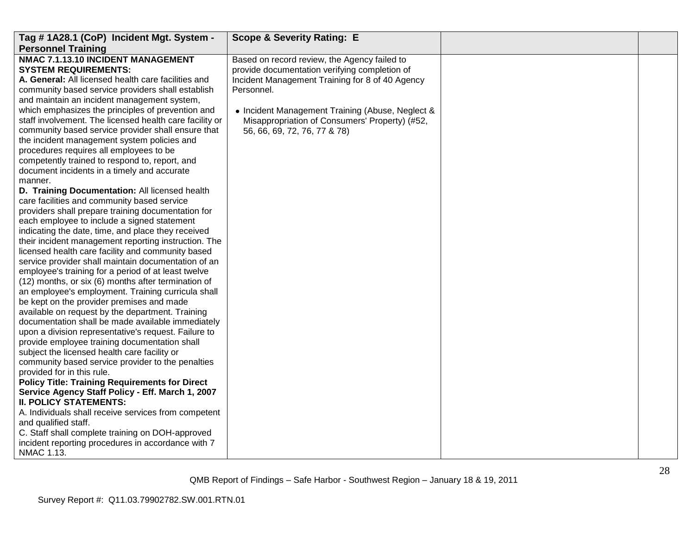| Tag #1A28.1 (CoP) Incident Mgt. System -<br><b>Personnel Training</b>                                                                                                                                                                                                                                                                                                                                                                                                                                                                                                                                                                                                                                                                                                                                                                                                                                                                                                                                                                                                                                                                                                                                                                                                                                                                                                                                                                                                                                                                                                                                                                                                                                                                                                                                                                                                                                                                                                | <b>Scope &amp; Severity Rating: E</b>                                                                                                                                                                                                                                                                |  |
|----------------------------------------------------------------------------------------------------------------------------------------------------------------------------------------------------------------------------------------------------------------------------------------------------------------------------------------------------------------------------------------------------------------------------------------------------------------------------------------------------------------------------------------------------------------------------------------------------------------------------------------------------------------------------------------------------------------------------------------------------------------------------------------------------------------------------------------------------------------------------------------------------------------------------------------------------------------------------------------------------------------------------------------------------------------------------------------------------------------------------------------------------------------------------------------------------------------------------------------------------------------------------------------------------------------------------------------------------------------------------------------------------------------------------------------------------------------------------------------------------------------------------------------------------------------------------------------------------------------------------------------------------------------------------------------------------------------------------------------------------------------------------------------------------------------------------------------------------------------------------------------------------------------------------------------------------------------------|------------------------------------------------------------------------------------------------------------------------------------------------------------------------------------------------------------------------------------------------------------------------------------------------------|--|
| NMAC 7.1.13.10 INCIDENT MANAGEMENT<br><b>SYSTEM REQUIREMENTS:</b><br>A. General: All licensed health care facilities and<br>community based service providers shall establish<br>and maintain an incident management system,<br>which emphasizes the principles of prevention and<br>staff involvement. The licensed health care facility or<br>community based service provider shall ensure that<br>the incident management system policies and<br>procedures requires all employees to be<br>competently trained to respond to, report, and<br>document incidents in a timely and accurate<br>manner.<br>D. Training Documentation: All licensed health<br>care facilities and community based service<br>providers shall prepare training documentation for<br>each employee to include a signed statement<br>indicating the date, time, and place they received<br>their incident management reporting instruction. The<br>licensed health care facility and community based<br>service provider shall maintain documentation of an<br>employee's training for a period of at least twelve<br>(12) months, or six (6) months after termination of<br>an employee's employment. Training curricula shall<br>be kept on the provider premises and made<br>available on request by the department. Training<br>documentation shall be made available immediately<br>upon a division representative's request. Failure to<br>provide employee training documentation shall<br>subject the licensed health care facility or<br>community based service provider to the penalties<br>provided for in this rule.<br><b>Policy Title: Training Requirements for Direct</b><br>Service Agency Staff Policy - Eff. March 1, 2007<br><b>II. POLICY STATEMENTS:</b><br>A. Individuals shall receive services from competent<br>and qualified staff.<br>C. Staff shall complete training on DOH-approved<br>incident reporting procedures in accordance with 7<br>NMAC 1.13. | Based on record review, the Agency failed to<br>provide documentation verifying completion of<br>Incident Management Training for 8 of 40 Agency<br>Personnel.<br>• Incident Management Training (Abuse, Neglect &<br>Misappropriation of Consumers' Property) (#52,<br>56, 66, 69, 72, 76, 77 & 78) |  |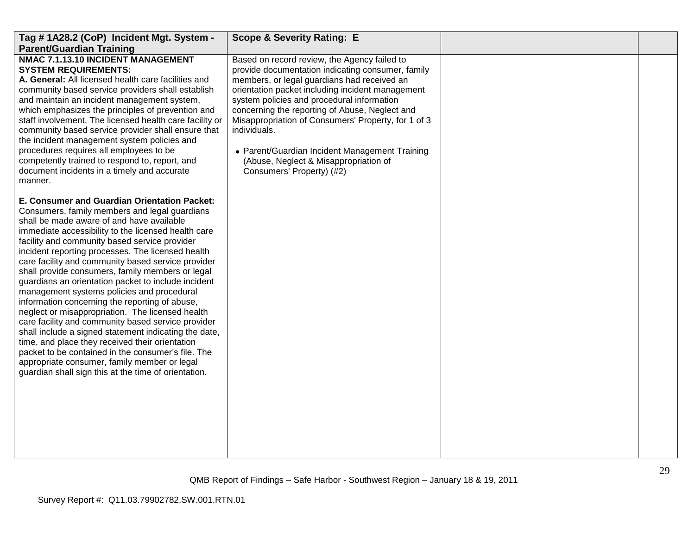| Tag #1A28.2 (CoP) Incident Mgt. System -                                                                                                                                                                                                                                                                                                                                                                                                                                                                                                                                                                                                                                                                                                                                                                                                                                                                                                                     | <b>Scope &amp; Severity Rating: E</b>                                                                                                                                                                                                                                                                                                                                                                                                                                                               |  |
|--------------------------------------------------------------------------------------------------------------------------------------------------------------------------------------------------------------------------------------------------------------------------------------------------------------------------------------------------------------------------------------------------------------------------------------------------------------------------------------------------------------------------------------------------------------------------------------------------------------------------------------------------------------------------------------------------------------------------------------------------------------------------------------------------------------------------------------------------------------------------------------------------------------------------------------------------------------|-----------------------------------------------------------------------------------------------------------------------------------------------------------------------------------------------------------------------------------------------------------------------------------------------------------------------------------------------------------------------------------------------------------------------------------------------------------------------------------------------------|--|
| <b>Parent/Guardian Training</b><br>NMAC 7.1.13.10 INCIDENT MANAGEMENT<br><b>SYSTEM REQUIREMENTS:</b><br>A. General: All licensed health care facilities and<br>community based service providers shall establish<br>and maintain an incident management system,<br>which emphasizes the principles of prevention and<br>staff involvement. The licensed health care facility or<br>community based service provider shall ensure that<br>the incident management system policies and<br>procedures requires all employees to be<br>competently trained to respond to, report, and<br>document incidents in a timely and accurate<br>manner.                                                                                                                                                                                                                                                                                                                  | Based on record review, the Agency failed to<br>provide documentation indicating consumer, family<br>members, or legal guardians had received an<br>orientation packet including incident management<br>system policies and procedural information<br>concerning the reporting of Abuse, Neglect and<br>Misappropriation of Consumers' Property, for 1 of 3<br>individuals.<br>• Parent/Guardian Incident Management Training<br>(Abuse, Neglect & Misappropriation of<br>Consumers' Property) (#2) |  |
| E. Consumer and Guardian Orientation Packet:<br>Consumers, family members and legal guardians<br>shall be made aware of and have available<br>immediate accessibility to the licensed health care<br>facility and community based service provider<br>incident reporting processes. The licensed health<br>care facility and community based service provider<br>shall provide consumers, family members or legal<br>guardians an orientation packet to include incident<br>management systems policies and procedural<br>information concerning the reporting of abuse,<br>neglect or misappropriation. The licensed health<br>care facility and community based service provider<br>shall include a signed statement indicating the date,<br>time, and place they received their orientation<br>packet to be contained in the consumer's file. The<br>appropriate consumer, family member or legal<br>guardian shall sign this at the time of orientation. |                                                                                                                                                                                                                                                                                                                                                                                                                                                                                                     |  |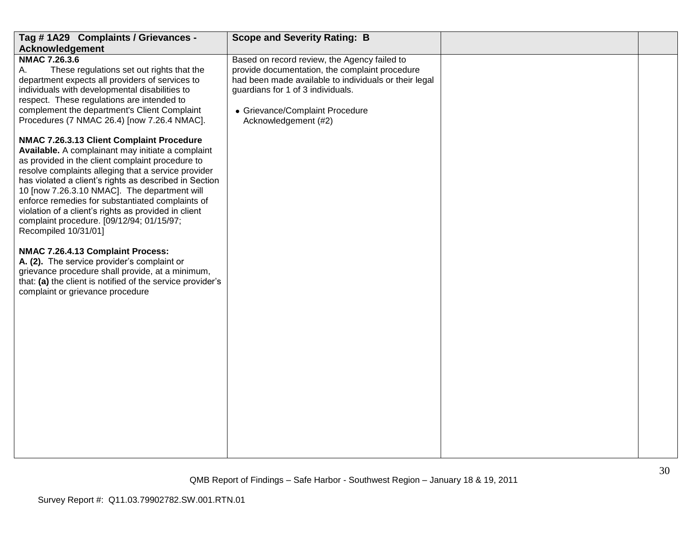| Tag #1A29 Complaints / Grievances -                                                                                                                                                                                                                                                                                                                                                                                                                                                                                                                                                                                                                                                                                                            | <b>Scope and Severity Rating: B</b>                                                                                                                                                                                                                     |  |  |
|------------------------------------------------------------------------------------------------------------------------------------------------------------------------------------------------------------------------------------------------------------------------------------------------------------------------------------------------------------------------------------------------------------------------------------------------------------------------------------------------------------------------------------------------------------------------------------------------------------------------------------------------------------------------------------------------------------------------------------------------|---------------------------------------------------------------------------------------------------------------------------------------------------------------------------------------------------------------------------------------------------------|--|--|
| <b>Acknowledgement</b>                                                                                                                                                                                                                                                                                                                                                                                                                                                                                                                                                                                                                                                                                                                         |                                                                                                                                                                                                                                                         |  |  |
| <b>NMAC 7.26.3.6</b><br>These regulations set out rights that the<br>А.<br>department expects all providers of services to<br>individuals with developmental disabilities to<br>respect. These regulations are intended to<br>complement the department's Client Complaint<br>Procedures (7 NMAC 26.4) [now 7.26.4 NMAC].                                                                                                                                                                                                                                                                                                                                                                                                                      | Based on record review, the Agency failed to<br>provide documentation, the complaint procedure<br>had been made available to individuals or their legal<br>guardians for 1 of 3 individuals.<br>• Grievance/Complaint Procedure<br>Acknowledgement (#2) |  |  |
| NMAC 7.26.3.13 Client Complaint Procedure<br>Available. A complainant may initiate a complaint<br>as provided in the client complaint procedure to<br>resolve complaints alleging that a service provider<br>has violated a client's rights as described in Section<br>10 [now 7.26.3.10 NMAC]. The department will<br>enforce remedies for substantiated complaints of<br>violation of a client's rights as provided in client<br>complaint procedure. [09/12/94; 01/15/97;<br>Recompiled 10/31/01]<br>NMAC 7.26.4.13 Complaint Process:<br>A. (2). The service provider's complaint or<br>grievance procedure shall provide, at a minimum,<br>that: (a) the client is notified of the service provider's<br>complaint or grievance procedure |                                                                                                                                                                                                                                                         |  |  |
|                                                                                                                                                                                                                                                                                                                                                                                                                                                                                                                                                                                                                                                                                                                                                |                                                                                                                                                                                                                                                         |  |  |
| 30<br>QMB Report of Findings - Safe Harbor - Southwest Region - January 18 & 19, 2011                                                                                                                                                                                                                                                                                                                                                                                                                                                                                                                                                                                                                                                          |                                                                                                                                                                                                                                                         |  |  |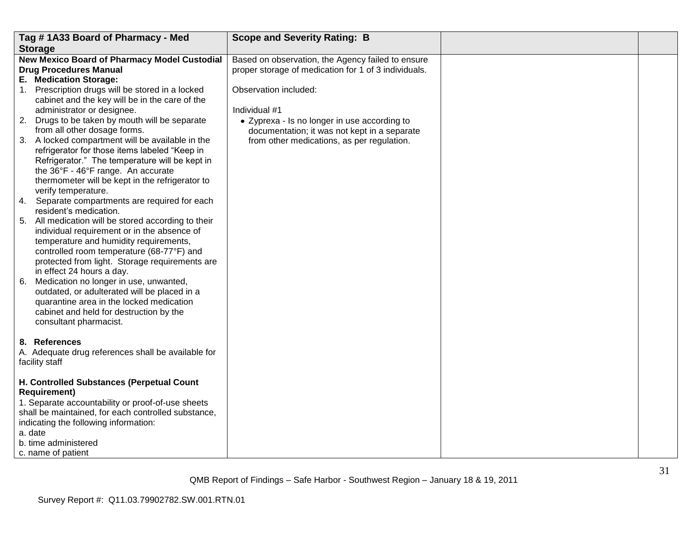|         | Tag #1A33 Board of Pharmacy - Med                                                                        | <b>Scope and Severity Rating: B</b>                  |  |
|---------|----------------------------------------------------------------------------------------------------------|------------------------------------------------------|--|
|         | <b>Storage</b>                                                                                           |                                                      |  |
|         | <b>New Mexico Board of Pharmacy Model Custodial</b>                                                      | Based on observation, the Agency failed to ensure    |  |
|         | <b>Drug Procedures Manual</b>                                                                            | proper storage of medication for 1 of 3 individuals. |  |
|         | E. Medication Storage:                                                                                   |                                                      |  |
|         | 1. Prescription drugs will be stored in a locked                                                         | Observation included:                                |  |
|         | cabinet and the key will be in the care of the                                                           |                                                      |  |
|         | administrator or designee.                                                                               | Individual #1                                        |  |
|         | 2. Drugs to be taken by mouth will be separate                                                           | • Zyprexa - Is no longer in use according to         |  |
|         | from all other dosage forms.                                                                             | documentation; it was not kept in a separate         |  |
|         | 3. A locked compartment will be available in the                                                         | from other medications, as per regulation.           |  |
|         | refrigerator for those items labeled "Keep in                                                            |                                                      |  |
|         | Refrigerator." The temperature will be kept in                                                           |                                                      |  |
|         | the 36°F - 46°F range. An accurate                                                                       |                                                      |  |
|         | thermometer will be kept in the refrigerator to                                                          |                                                      |  |
|         | verify temperature.                                                                                      |                                                      |  |
|         | 4. Separate compartments are required for each                                                           |                                                      |  |
|         | resident's medication.<br>5. All medication will be stored according to their                            |                                                      |  |
|         | individual requirement or in the absence of                                                              |                                                      |  |
|         | temperature and humidity requirements,                                                                   |                                                      |  |
|         | controlled room temperature (68-77°F) and                                                                |                                                      |  |
|         | protected from light. Storage requirements are                                                           |                                                      |  |
|         | in effect 24 hours a day.                                                                                |                                                      |  |
|         | 6. Medication no longer in use, unwanted,                                                                |                                                      |  |
|         | outdated, or adulterated will be placed in a                                                             |                                                      |  |
|         | quarantine area in the locked medication                                                                 |                                                      |  |
|         | cabinet and held for destruction by the                                                                  |                                                      |  |
|         | consultant pharmacist.                                                                                   |                                                      |  |
|         |                                                                                                          |                                                      |  |
|         | 8. References                                                                                            |                                                      |  |
|         | A. Adequate drug references shall be available for                                                       |                                                      |  |
|         | facility staff                                                                                           |                                                      |  |
|         |                                                                                                          |                                                      |  |
|         | H. Controlled Substances (Perpetual Count                                                                |                                                      |  |
|         | <b>Requirement)</b>                                                                                      |                                                      |  |
|         | 1. Separate accountability or proof-of-use sheets<br>shall be maintained, for each controlled substance, |                                                      |  |
|         |                                                                                                          |                                                      |  |
| a. date | indicating the following information:                                                                    |                                                      |  |
|         | b. time administered                                                                                     |                                                      |  |
|         |                                                                                                          |                                                      |  |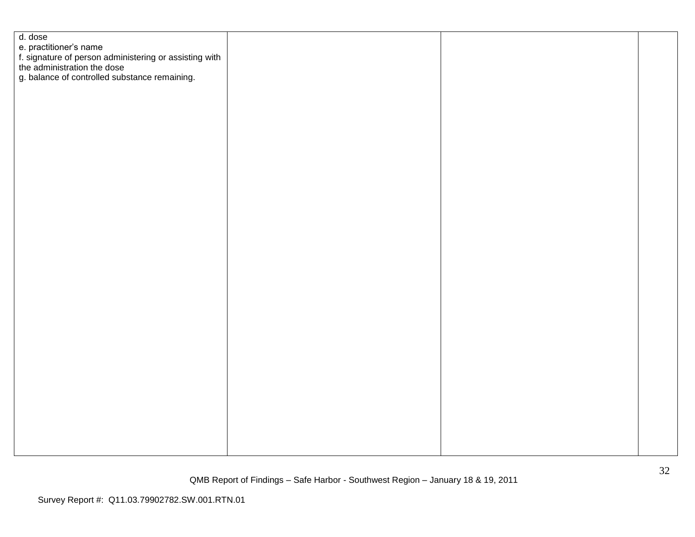| d. dose                                                                                                         |  |  |
|-----------------------------------------------------------------------------------------------------------------|--|--|
| e. practitioner's name<br>f. signature of person administering or assisting with<br>the administration the dose |  |  |
|                                                                                                                 |  |  |
|                                                                                                                 |  |  |
| g. balance of controlled substance remaining.                                                                   |  |  |
|                                                                                                                 |  |  |
|                                                                                                                 |  |  |
|                                                                                                                 |  |  |
|                                                                                                                 |  |  |
|                                                                                                                 |  |  |
|                                                                                                                 |  |  |
|                                                                                                                 |  |  |
|                                                                                                                 |  |  |
|                                                                                                                 |  |  |
|                                                                                                                 |  |  |
|                                                                                                                 |  |  |
|                                                                                                                 |  |  |
|                                                                                                                 |  |  |
|                                                                                                                 |  |  |
|                                                                                                                 |  |  |
|                                                                                                                 |  |  |
|                                                                                                                 |  |  |
|                                                                                                                 |  |  |
|                                                                                                                 |  |  |
|                                                                                                                 |  |  |
|                                                                                                                 |  |  |
|                                                                                                                 |  |  |
|                                                                                                                 |  |  |
|                                                                                                                 |  |  |
|                                                                                                                 |  |  |
|                                                                                                                 |  |  |
|                                                                                                                 |  |  |
|                                                                                                                 |  |  |
|                                                                                                                 |  |  |
|                                                                                                                 |  |  |
|                                                                                                                 |  |  |
|                                                                                                                 |  |  |
|                                                                                                                 |  |  |
|                                                                                                                 |  |  |
|                                                                                                                 |  |  |
|                                                                                                                 |  |  |
|                                                                                                                 |  |  |
|                                                                                                                 |  |  |
|                                                                                                                 |  |  |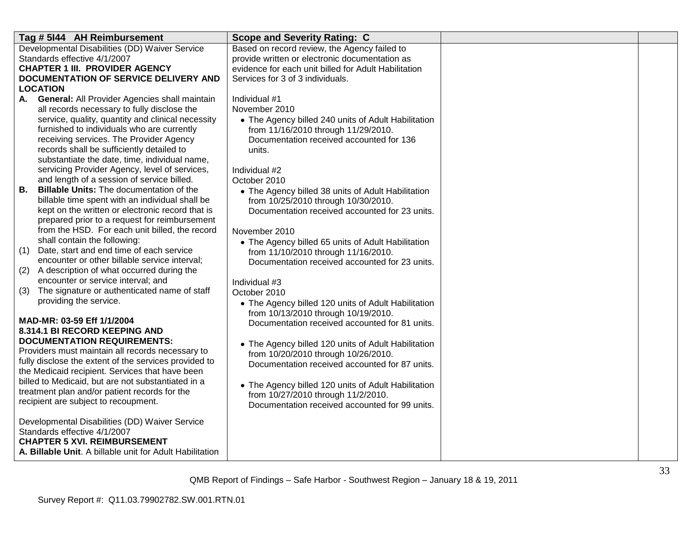| Tag # 5144 AH Reimbursement                                         | <b>Scope and Severity Rating: C</b>                  |  |
|---------------------------------------------------------------------|------------------------------------------------------|--|
| Developmental Disabilities (DD) Waiver Service                      | Based on record review, the Agency failed to         |  |
| Standards effective 4/1/2007                                        | provide written or electronic documentation as       |  |
| <b>CHAPTER 1 III. PROVIDER AGENCY</b>                               | evidence for each unit billed for Adult Habilitation |  |
| <b>DOCUMENTATION OF SERVICE DELIVERY AND</b>                        | Services for 3 of 3 individuals.                     |  |
| LOCATION                                                            |                                                      |  |
| <b>General: All Provider Agencies shall maintain</b><br>А.          | Individual #1                                        |  |
| all records necessary to fully disclose the                         | November 2010                                        |  |
| service, quality, quantity and clinical necessity                   | • The Agency billed 240 units of Adult Habilitation  |  |
| furnished to individuals who are currently                          | from 11/16/2010 through 11/29/2010.                  |  |
| receiving services. The Provider Agency                             | Documentation received accounted for 136             |  |
| records shall be sufficiently detailed to                           | units.                                               |  |
| substantiate the date, time, individual name,                       |                                                      |  |
| servicing Provider Agency, level of services,                       | Individual #2                                        |  |
| and length of a session of service billed.                          | October 2010                                         |  |
| <b>Billable Units: The documentation of the</b><br>В.               | • The Agency billed 38 units of Adult Habilitation   |  |
| billable time spent with an individual shall be                     | from 10/25/2010 through 10/30/2010.                  |  |
| kept on the written or electronic record that is                    | Documentation received accounted for 23 units.       |  |
| prepared prior to a request for reimbursement                       |                                                      |  |
| from the HSD. For each unit billed, the record                      | November 2010                                        |  |
| shall contain the following:                                        | • The Agency billed 65 units of Adult Habilitation   |  |
| Date, start and end time of each service<br>(1)                     | from 11/10/2010 through 11/16/2010.                  |  |
| encounter or other billable service interval;                       | Documentation received accounted for 23 units.       |  |
| A description of what occurred during the<br>(2)                    |                                                      |  |
| encounter or service interval; and                                  | Individual #3                                        |  |
| The signature or authenticated name of staff<br>(3)                 | October 2010                                         |  |
| providing the service.                                              | • The Agency billed 120 units of Adult Habilitation  |  |
|                                                                     | from 10/13/2010 through 10/19/2010.                  |  |
| MAD-MR: 03-59 Eff 1/1/2004                                          | Documentation received accounted for 81 units.       |  |
| 8.314.1 BI RECORD KEEPING AND<br><b>DOCUMENTATION REQUIREMENTS:</b> |                                                      |  |
| Providers must maintain all records necessary to                    | • The Agency billed 120 units of Adult Habilitation  |  |
| fully disclose the extent of the services provided to               | from 10/20/2010 through 10/26/2010.                  |  |
| the Medicaid recipient. Services that have been                     | Documentation received accounted for 87 units.       |  |
| billed to Medicaid, but are not substantiated in a                  |                                                      |  |
| treatment plan and/or patient records for the                       | • The Agency billed 120 units of Adult Habilitation  |  |
| recipient are subject to recoupment.                                | from 10/27/2010 through 11/2/2010.                   |  |
|                                                                     | Documentation received accounted for 99 units.       |  |
| Developmental Disabilities (DD) Waiver Service                      |                                                      |  |
| Standards effective 4/1/2007                                        |                                                      |  |
| <b>CHAPTER 5 XVI. REIMBURSEMENT</b>                                 |                                                      |  |
| A. Billable Unit. A billable unit for Adult Habilitation            |                                                      |  |
|                                                                     |                                                      |  |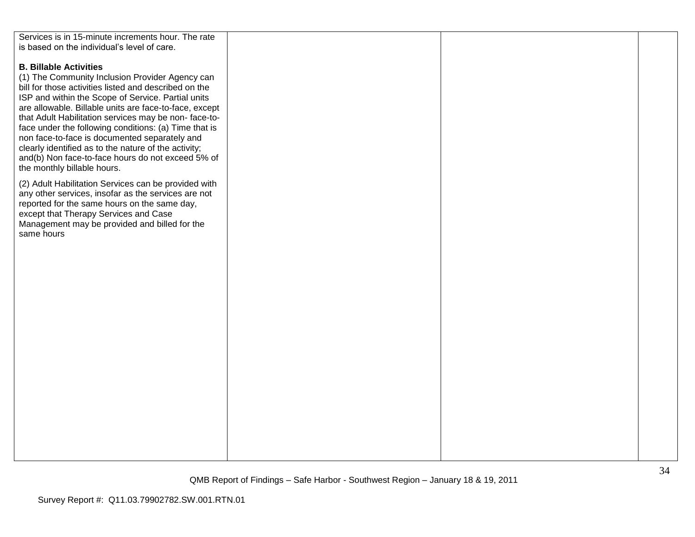| Services is in 15-minute increments hour. The rate     |  |  |
|--------------------------------------------------------|--|--|
| is based on the individual's level of care.            |  |  |
|                                                        |  |  |
|                                                        |  |  |
| <b>B. Billable Activities</b>                          |  |  |
| (1) The Community Inclusion Provider Agency can        |  |  |
| bill for those activities listed and described on the  |  |  |
| ISP and within the Scope of Service. Partial units     |  |  |
| are allowable. Billable units are face-to-face, except |  |  |
| that Adult Habilitation services may be non-face-to-   |  |  |
|                                                        |  |  |
| face under the following conditions: (a) Time that is  |  |  |
| non face-to-face is documented separately and          |  |  |
| clearly identified as to the nature of the activity;   |  |  |
| and(b) Non face-to-face hours do not exceed 5% of      |  |  |
| the monthly billable hours.                            |  |  |
|                                                        |  |  |
| (2) Adult Habilitation Services can be provided with   |  |  |
| any other services, insofar as the services are not    |  |  |
| reported for the same hours on the same day,           |  |  |
| except that Therapy Services and Case                  |  |  |
| Management may be provided and billed for the          |  |  |
| same hours                                             |  |  |
|                                                        |  |  |
|                                                        |  |  |
|                                                        |  |  |
|                                                        |  |  |
|                                                        |  |  |
|                                                        |  |  |
|                                                        |  |  |
|                                                        |  |  |
|                                                        |  |  |
|                                                        |  |  |
|                                                        |  |  |
|                                                        |  |  |
|                                                        |  |  |
|                                                        |  |  |
|                                                        |  |  |
|                                                        |  |  |
|                                                        |  |  |
|                                                        |  |  |
|                                                        |  |  |
|                                                        |  |  |
|                                                        |  |  |
|                                                        |  |  |
|                                                        |  |  |
|                                                        |  |  |
|                                                        |  |  |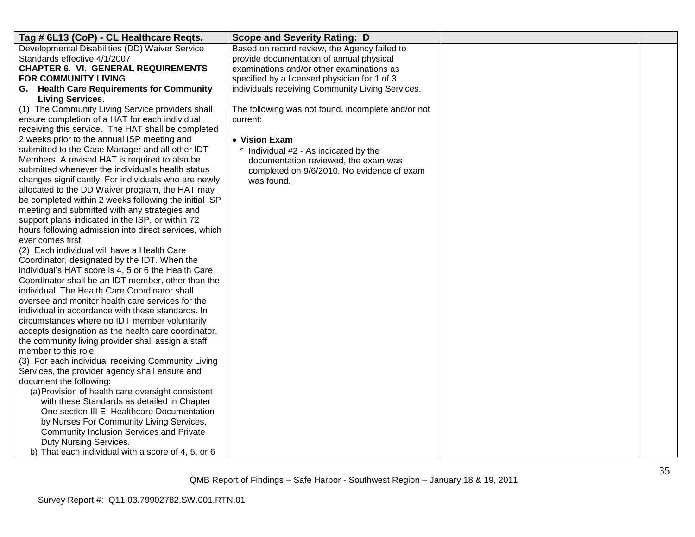| Tag # 6L13 (CoP) - CL Healthcare Reqts.                                                             | <b>Scope and Severity Rating: D</b>                |  |
|-----------------------------------------------------------------------------------------------------|----------------------------------------------------|--|
| Developmental Disabilities (DD) Waiver Service                                                      | Based on record review, the Agency failed to       |  |
| Standards effective 4/1/2007                                                                        | provide documentation of annual physical           |  |
| <b>CHAPTER 6. VI. GENERAL REQUIREMENTS</b>                                                          | examinations and/or other examinations as          |  |
| FOR COMMUNITY LIVING                                                                                | specified by a licensed physician for 1 of 3       |  |
| G. Health Care Requirements for Community                                                           | individuals receiving Community Living Services.   |  |
| <b>Living Services.</b>                                                                             |                                                    |  |
| (1) The Community Living Service providers shall                                                    | The following was not found, incomplete and/or not |  |
| ensure completion of a HAT for each individual                                                      | current:                                           |  |
| receiving this service. The HAT shall be completed                                                  |                                                    |  |
| 2 weeks prior to the annual ISP meeting and                                                         | • Vision Exam                                      |  |
| submitted to the Case Manager and all other IDT                                                     | Individual #2 - As indicated by the                |  |
| Members. A revised HAT is required to also be                                                       | documentation reviewed, the exam was               |  |
| submitted whenever the individual's health status                                                   | completed on 9/6/2010. No evidence of exam         |  |
| changes significantly. For individuals who are newly                                                | was found.                                         |  |
| allocated to the DD Waiver program, the HAT may                                                     |                                                    |  |
| be completed within 2 weeks following the initial ISP                                               |                                                    |  |
| meeting and submitted with any strategies and                                                       |                                                    |  |
| support plans indicated in the ISP, or within 72                                                    |                                                    |  |
| hours following admission into direct services, which                                               |                                                    |  |
| ever comes first.                                                                                   |                                                    |  |
| (2) Each individual will have a Health Care                                                         |                                                    |  |
| Coordinator, designated by the IDT. When the                                                        |                                                    |  |
| individual's HAT score is 4, 5 or 6 the Health Care                                                 |                                                    |  |
| Coordinator shall be an IDT member, other than the<br>individual. The Health Care Coordinator shall |                                                    |  |
| oversee and monitor health care services for the                                                    |                                                    |  |
| individual in accordance with these standards. In                                                   |                                                    |  |
| circumstances where no IDT member voluntarily                                                       |                                                    |  |
| accepts designation as the health care coordinator,                                                 |                                                    |  |
| the community living provider shall assign a staff                                                  |                                                    |  |
| member to this role.                                                                                |                                                    |  |
| (3) For each individual receiving Community Living                                                  |                                                    |  |
| Services, the provider agency shall ensure and                                                      |                                                    |  |
| document the following:                                                                             |                                                    |  |
| (a) Provision of health care oversight consistent                                                   |                                                    |  |
| with these Standards as detailed in Chapter                                                         |                                                    |  |
| One section III E: Healthcare Documentation                                                         |                                                    |  |
| by Nurses For Community Living Services,                                                            |                                                    |  |
| <b>Community Inclusion Services and Private</b>                                                     |                                                    |  |
| Duty Nursing Services.                                                                              |                                                    |  |
| b) That each individual with a score of 4, 5, or 6                                                  |                                                    |  |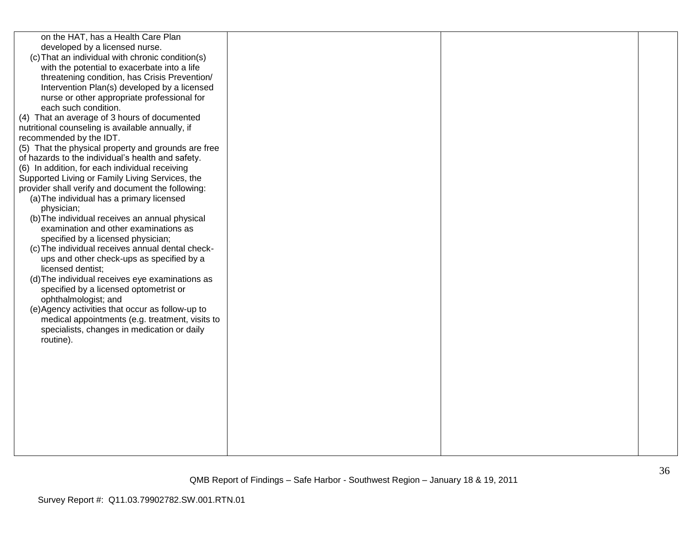| on the HAT, has a Health Care Plan<br>developed by a licensed nurse.<br>(c) That an individual with chronic condition(s)<br>with the potential to exacerbate into a life<br>threatening condition, has Crisis Prevention/<br>Intervention Plan(s) developed by a licensed<br>nurse or other appropriate professional for<br>each such condition.<br>(4) That an average of 3 hours of documented<br>nutritional counseling is available annually, if<br>recommended by the IDT.<br>(5) That the physical property and grounds are free<br>of hazards to the individual's health and safety.<br>(6) In addition, for each individual receiving<br>Supported Living or Family Living Services, the<br>provider shall verify and document the following:<br>(a) The individual has a primary licensed<br>physician;<br>(b) The individual receives an annual physical<br>examination and other examinations as<br>specified by a licensed physician;<br>(c) The individual receives annual dental check-<br>ups and other check-ups as specified by a<br>licensed dentist;<br>(d) The individual receives eye examinations as<br>specified by a licensed optometrist or<br>ophthalmologist; and<br>(e) Agency activities that occur as follow-up to<br>medical appointments (e.g. treatment, visits to<br>specialists, changes in medication or daily<br>routine). |  |  |
|-----------------------------------------------------------------------------------------------------------------------------------------------------------------------------------------------------------------------------------------------------------------------------------------------------------------------------------------------------------------------------------------------------------------------------------------------------------------------------------------------------------------------------------------------------------------------------------------------------------------------------------------------------------------------------------------------------------------------------------------------------------------------------------------------------------------------------------------------------------------------------------------------------------------------------------------------------------------------------------------------------------------------------------------------------------------------------------------------------------------------------------------------------------------------------------------------------------------------------------------------------------------------------------------------------------------------------------------------------------------|--|--|
|                                                                                                                                                                                                                                                                                                                                                                                                                                                                                                                                                                                                                                                                                                                                                                                                                                                                                                                                                                                                                                                                                                                                                                                                                                                                                                                                                                 |  |  |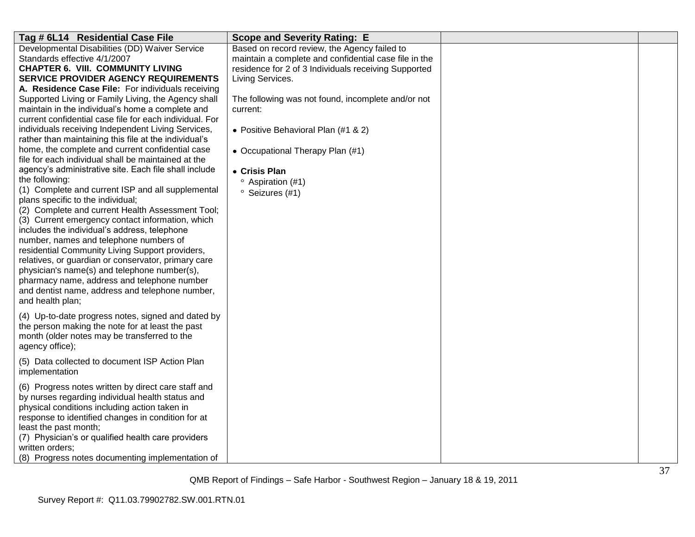| Tag # 6L14 Residential Case File                                                                            | <b>Scope and Severity Rating: E</b>                   |  |
|-------------------------------------------------------------------------------------------------------------|-------------------------------------------------------|--|
| Developmental Disabilities (DD) Waiver Service                                                              | Based on record review, the Agency failed to          |  |
| Standards effective 4/1/2007                                                                                | maintain a complete and confidential case file in the |  |
| <b>CHAPTER 6. VIII. COMMUNITY LIVING</b>                                                                    | residence for 2 of 3 Individuals receiving Supported  |  |
| <b>SERVICE PROVIDER AGENCY REQUIREMENTS</b>                                                                 | Living Services.                                      |  |
| A. Residence Case File: For individuals receiving                                                           |                                                       |  |
| Supported Living or Family Living, the Agency shall                                                         | The following was not found, incomplete and/or not    |  |
| maintain in the individual's home a complete and                                                            | current:                                              |  |
| current confidential case file for each individual. For                                                     |                                                       |  |
| individuals receiving Independent Living Services,<br>rather than maintaining this file at the individual's | • Positive Behavioral Plan (#1 & 2)                   |  |
| home, the complete and current confidential case                                                            |                                                       |  |
| file for each individual shall be maintained at the                                                         | • Occupational Therapy Plan (#1)                      |  |
| agency's administrative site. Each file shall include                                                       | • Crisis Plan                                         |  |
| the following:                                                                                              | <sup>o</sup> Aspiration (#1)                          |  |
| (1) Complete and current ISP and all supplemental                                                           | <sup>o</sup> Seizures (#1)                            |  |
| plans specific to the individual;                                                                           |                                                       |  |
| (2) Complete and current Health Assessment Tool;                                                            |                                                       |  |
| (3) Current emergency contact information, which                                                            |                                                       |  |
| includes the individual's address, telephone                                                                |                                                       |  |
| number, names and telephone numbers of                                                                      |                                                       |  |
| residential Community Living Support providers,                                                             |                                                       |  |
| relatives, or guardian or conservator, primary care                                                         |                                                       |  |
| physician's name(s) and telephone number(s),                                                                |                                                       |  |
| pharmacy name, address and telephone number                                                                 |                                                       |  |
| and dentist name, address and telephone number,                                                             |                                                       |  |
| and health plan;                                                                                            |                                                       |  |
| (4) Up-to-date progress notes, signed and dated by                                                          |                                                       |  |
| the person making the note for at least the past                                                            |                                                       |  |
| month (older notes may be transferred to the                                                                |                                                       |  |
| agency office);                                                                                             |                                                       |  |
| (5) Data collected to document ISP Action Plan                                                              |                                                       |  |
| implementation                                                                                              |                                                       |  |
|                                                                                                             |                                                       |  |
| (6) Progress notes written by direct care staff and                                                         |                                                       |  |
| by nurses regarding individual health status and                                                            |                                                       |  |
| physical conditions including action taken in                                                               |                                                       |  |
| response to identified changes in condition for at                                                          |                                                       |  |
| least the past month;                                                                                       |                                                       |  |
| (7) Physician's or qualified health care providers                                                          |                                                       |  |
| written orders;                                                                                             |                                                       |  |
| (8) Progress notes documenting implementation of                                                            |                                                       |  |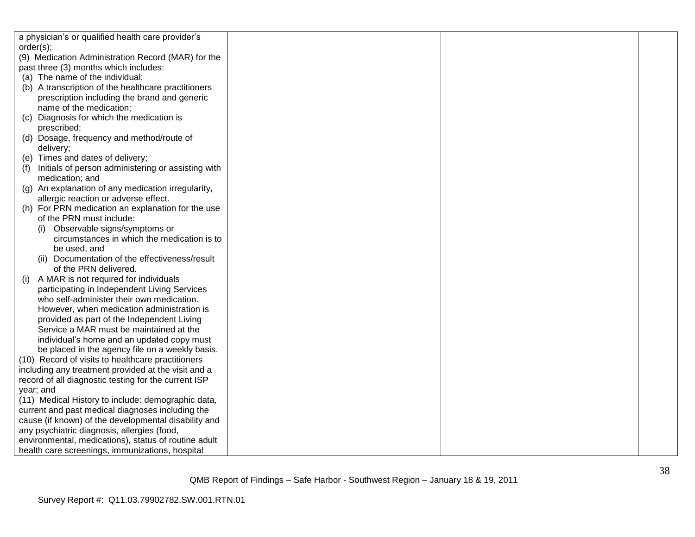|           | a physician's or qualified health care provider's    |  |  |
|-----------|------------------------------------------------------|--|--|
| order(s); |                                                      |  |  |
|           | (9) Medication Administration Record (MAR) for the   |  |  |
|           | past three (3) months which includes:                |  |  |
|           | (a) The name of the individual;                      |  |  |
|           | (b) A transcription of the healthcare practitioners  |  |  |
|           | prescription including the brand and generic         |  |  |
|           | name of the medication;                              |  |  |
| (C)       | Diagnosis for which the medication is                |  |  |
|           | prescribed;                                          |  |  |
|           | (d) Dosage, frequency and method/route of            |  |  |
|           | delivery;                                            |  |  |
|           | (e) Times and dates of delivery;                     |  |  |
| (f)       | Initials of person administering or assisting with   |  |  |
|           | medication; and                                      |  |  |
|           | (g) An explanation of any medication irregularity,   |  |  |
|           | allergic reaction or adverse effect.                 |  |  |
|           | (h) For PRN medication an explanation for the use    |  |  |
|           | of the PRN must include:                             |  |  |
|           | Observable signs/symptoms or                         |  |  |
|           | circumstances in which the medication is to          |  |  |
|           | be used, and                                         |  |  |
|           | (ii) Documentation of the effectiveness/result       |  |  |
|           | of the PRN delivered.                                |  |  |
| (1)       | A MAR is not required for individuals                |  |  |
|           | participating in Independent Living Services         |  |  |
|           | who self-administer their own medication.            |  |  |
|           | However, when medication administration is           |  |  |
|           | provided as part of the Independent Living           |  |  |
|           | Service a MAR must be maintained at the              |  |  |
|           | individual's home and an updated copy must           |  |  |
|           | be placed in the agency file on a weekly basis.      |  |  |
|           | (10) Record of visits to healthcare practitioners    |  |  |
|           | including any treatment provided at the visit and a  |  |  |
|           | record of all diagnostic testing for the current ISP |  |  |
|           | year; and                                            |  |  |
|           | (11) Medical History to include: demographic data,   |  |  |
|           | current and past medical diagnoses including the     |  |  |
|           | cause (if known) of the developmental disability and |  |  |
|           | any psychiatric diagnosis, allergies (food,          |  |  |
|           | environmental, medications), status of routine adult |  |  |
|           | health care screenings, immunizations, hospital      |  |  |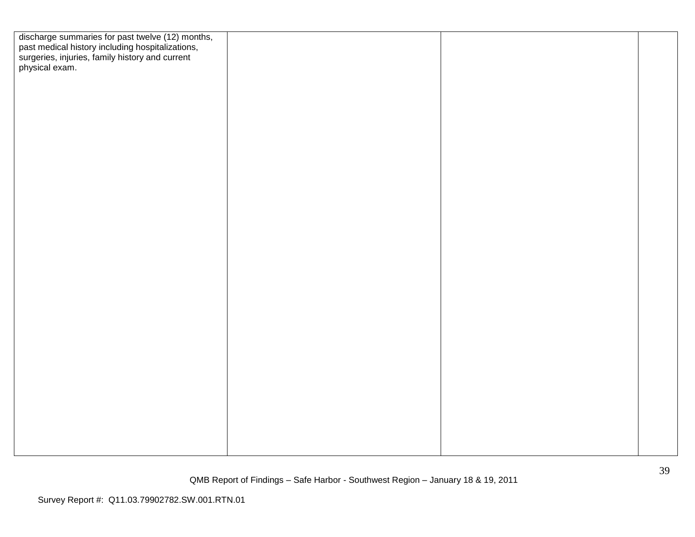| discharge summaries for past twelve (12) months,<br>past medical history including hospitalizations,<br>surgeries, injuries, family history and current<br>physical exam. |  |  |
|---------------------------------------------------------------------------------------------------------------------------------------------------------------------------|--|--|
|                                                                                                                                                                           |  |  |
|                                                                                                                                                                           |  |  |
|                                                                                                                                                                           |  |  |
|                                                                                                                                                                           |  |  |
|                                                                                                                                                                           |  |  |
|                                                                                                                                                                           |  |  |
|                                                                                                                                                                           |  |  |
|                                                                                                                                                                           |  |  |
|                                                                                                                                                                           |  |  |
|                                                                                                                                                                           |  |  |
|                                                                                                                                                                           |  |  |
|                                                                                                                                                                           |  |  |
|                                                                                                                                                                           |  |  |
|                                                                                                                                                                           |  |  |
|                                                                                                                                                                           |  |  |
|                                                                                                                                                                           |  |  |
|                                                                                                                                                                           |  |  |
|                                                                                                                                                                           |  |  |
|                                                                                                                                                                           |  |  |
|                                                                                                                                                                           |  |  |
|                                                                                                                                                                           |  |  |
|                                                                                                                                                                           |  |  |
|                                                                                                                                                                           |  |  |
|                                                                                                                                                                           |  |  |
|                                                                                                                                                                           |  |  |
|                                                                                                                                                                           |  |  |
|                                                                                                                                                                           |  |  |
|                                                                                                                                                                           |  |  |
|                                                                                                                                                                           |  |  |
|                                                                                                                                                                           |  |  |
|                                                                                                                                                                           |  |  |
|                                                                                                                                                                           |  |  |
|                                                                                                                                                                           |  |  |
|                                                                                                                                                                           |  |  |
|                                                                                                                                                                           |  |  |
|                                                                                                                                                                           |  |  |
|                                                                                                                                                                           |  |  |
|                                                                                                                                                                           |  |  |
|                                                                                                                                                                           |  |  |
|                                                                                                                                                                           |  |  |
|                                                                                                                                                                           |  |  |
|                                                                                                                                                                           |  |  |